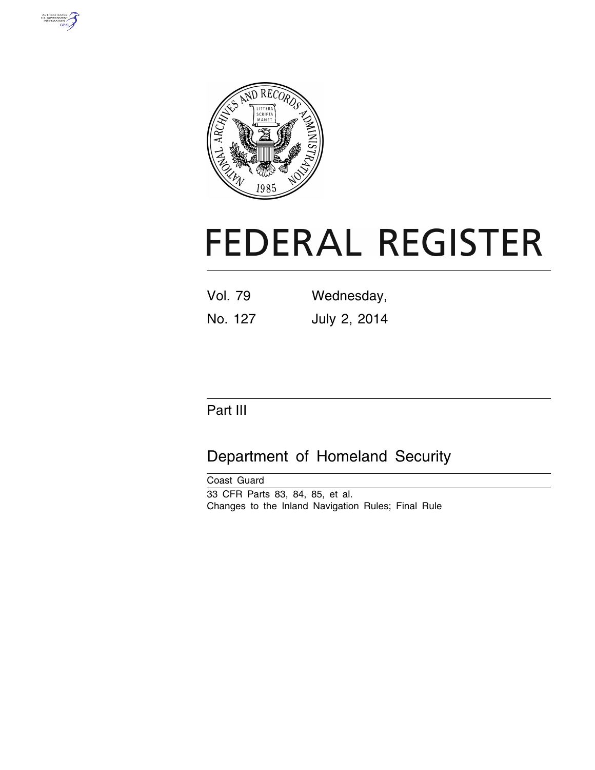



# **FEDERAL REGISTER**

| Vol. 79 | Wednesday,   |
|---------|--------------|
| No. 127 | July 2, 2014 |

# Part III

# Department of Homeland Security

Coast Guard 33 CFR Parts 83, 84, 85, et al. Changes to the Inland Navigation Rules; Final Rule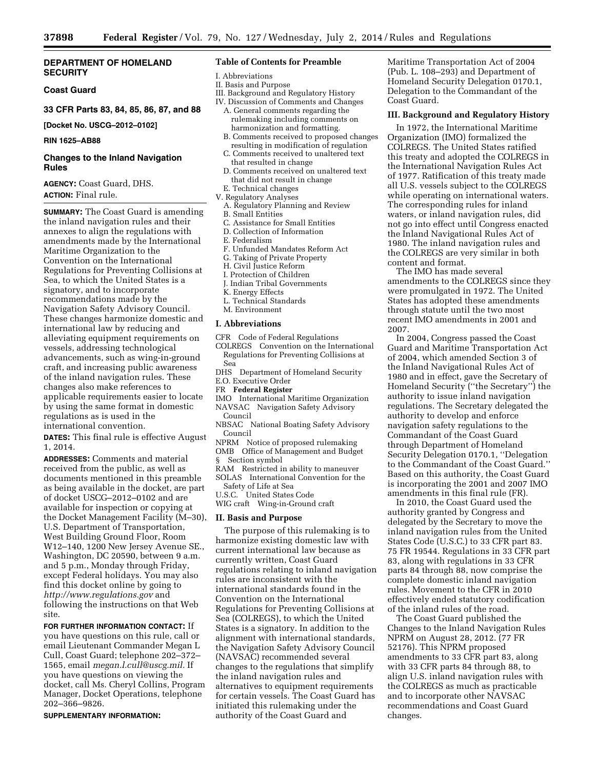#### **DEPARTMENT OF HOMELAND SECURITY**

#### **Coast Guard**

## **33 CFR Parts 83, 84, 85, 86, 87, and 88**

**[Docket No. USCG–2012–0102]** 

#### **RIN 1625–AB88**

#### **Changes to the Inland Navigation Rules**

#### **AGENCY:** Coast Guard, DHS. **ACTION:** Final rule.

**SUMMARY:** The Coast Guard is amending the inland navigation rules and their annexes to align the regulations with amendments made by the International Maritime Organization to the Convention on the International Regulations for Preventing Collisions at Sea, to which the United States is a signatory, and to incorporate recommendations made by the Navigation Safety Advisory Council. These changes harmonize domestic and international law by reducing and alleviating equipment requirements on vessels, addressing technological advancements, such as wing-in-ground craft, and increasing public awareness of the inland navigation rules. These changes also make references to applicable requirements easier to locate by using the same format in domestic regulations as is used in the international convention.

**DATES:** This final rule is effective August 1, 2014.

**ADDRESSES:** Comments and material received from the public, as well as documents mentioned in this preamble as being available in the docket, are part of docket USCG–2012–0102 and are available for inspection or copying at the Docket Management Facility (M–30), U.S. Department of Transportation, West Building Ground Floor, Room W12–140, 1200 New Jersey Avenue SE., Washington, DC 20590, between 9 a.m. and 5 p.m., Monday through Friday, except Federal holidays. You may also find this docket online by going to *<http://www.regulations.gov>* and following the instructions on that Web site.

**FOR FURTHER INFORMATION CONTACT:** If you have questions on this rule, call or email Lieutenant Commander Megan L Cull, Coast Guard; telephone 202–372– 1565, email *[megan.l.cull@uscg.mil.](mailto:megan.l.cull@uscg.mil)* If you have questions on viewing the docket, call Ms. Cheryl Collins, Program Manager, Docket Operations, telephone 202–366–9826.

#### **SUPPLEMENTARY INFORMATION:**

#### **Table of Contents for Preamble**

- I. Abbreviations
- II. Basis and Purpose
- III. Background and Regulatory History
- IV. Discussion of Comments and Changes A. General comments regarding the
	- rulemaking including comments on harmonization and formatting. B. Comments received to proposed changes
	- resulting in modification of regulation
	- Comments received to unaltered text that resulted in change
	- D. Comments received on unaltered text that did not result in change
	- E. Technical changes
- V. Regulatory Analyses
- A. Regulatory Planning and Review
- B. Small Entities
- C. Assistance for Small Entities
- D. Collection of Information
- E. Federalism
- F. Unfunded Mandates Reform Act
- G. Taking of Private Property
- H. Civil Justice Reform
- I. Protection of Children
- J. Indian Tribal Governments
- K. Energy Effects
- L. Technical Standards
- M. Environment

#### **I. Abbreviations**

- CFR Code of Federal Regulations
- COLREGS Convention on the International Regulations for Preventing Collisions at Sea
- DHS Department of Homeland Security
- E.O. Executive Order
- FR **Federal Register**
- IMO International Maritime Organization NAVSAC Navigation Safety Advisory
- Council
- NBSAC National Boating Safety Advisory Council
- NPRM Notice of proposed rulemaking
- OMB Office of Management and Budget § Section symbol
- RAM Restricted in ability to maneuver
- SOLAS International Convention for the Safety of Life at Sea
- U.S.C. United States Code
- WIG craft Wing-in-Ground craft

#### **II. Basis and Purpose**

The purpose of this rulemaking is to harmonize existing domestic law with current international law because as currently written, Coast Guard regulations relating to inland navigation rules are inconsistent with the international standards found in the Convention on the International Regulations for Preventing Collisions at Sea (COLREGS), to which the United States is a signatory. In addition to the alignment with international standards, the Navigation Safety Advisory Council (NAVSAC) recommended several changes to the regulations that simplify the inland navigation rules and alternatives to equipment requirements for certain vessels. The Coast Guard has initiated this rulemaking under the authority of the Coast Guard and

Maritime Transportation Act of 2004 (Pub. L. 108–293) and Department of Homeland Security Delegation 0170.1, Delegation to the Commandant of the Coast Guard.

#### **III. Background and Regulatory History**

In 1972, the International Maritime Organization (IMO) formalized the COLREGS. The United States ratified this treaty and adopted the COLREGS in the International Navigation Rules Act of 1977. Ratification of this treaty made all U.S. vessels subject to the COLREGS while operating on international waters. The corresponding rules for inland waters, or inland navigation rules, did not go into effect until Congress enacted the Inland Navigational Rules Act of 1980. The inland navigation rules and the COLREGS are very similar in both content and format.

The IMO has made several amendments to the COLREGS since they were promulgated in 1972. The United States has adopted these amendments through statute until the two most recent IMO amendments in 2001 and 2007.

In 2004, Congress passed the Coast Guard and Maritime Transportation Act of 2004, which amended Section 3 of the Inland Navigational Rules Act of 1980 and in effect, gave the Secretary of Homeland Security (''the Secretary'') the authority to issue inland navigation regulations. The Secretary delegated the authority to develop and enforce navigation safety regulations to the Commandant of the Coast Guard through Department of Homeland Security Delegation 0170.1, ''Delegation to the Commandant of the Coast Guard.'' Based on this authority, the Coast Guard is incorporating the 2001 and 2007 IMO amendments in this final rule (FR).

In 2010, the Coast Guard used the authority granted by Congress and delegated by the Secretary to move the inland navigation rules from the United States Code (U.S.C.) to 33 CFR part 83. 75 FR 19544. Regulations in 33 CFR part 83, along with regulations in 33 CFR parts 84 through 88, now comprise the complete domestic inland navigation rules. Movement to the CFR in 2010 effectively ended statutory codification of the inland rules of the road.

The Coast Guard published the Changes to the Inland Navigation Rules NPRM on August 28, 2012. (77 FR 52176). This NPRM proposed amendments to 33 CFR part 83, along with 33 CFR parts 84 through 88, to align U.S. inland navigation rules with the COLREGS as much as practicable and to incorporate other NAVSAC recommendations and Coast Guard changes.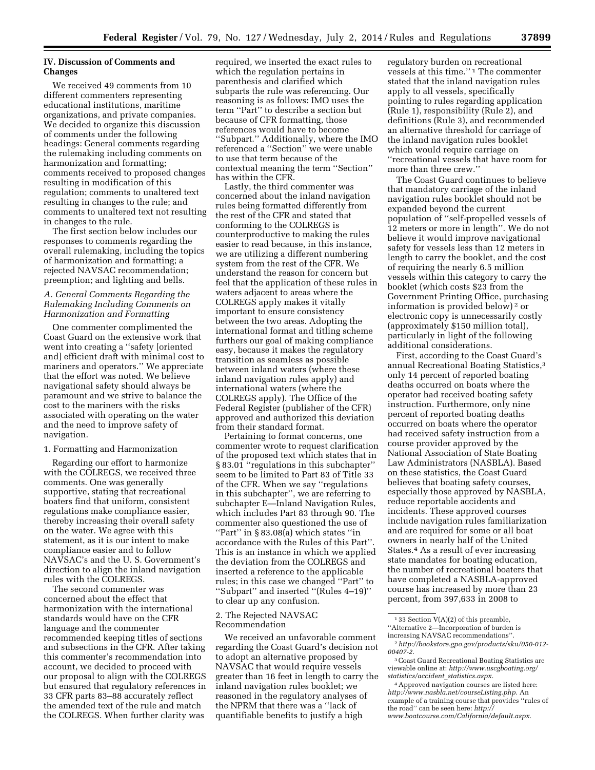#### **IV. Discussion of Comments and Changes**

We received 49 comments from 10 different commenters representing educational institutions, maritime organizations, and private companies. We decided to organize this discussion of comments under the following headings: General comments regarding the rulemaking including comments on harmonization and formatting; comments received to proposed changes resulting in modification of this regulation; comments to unaltered text resulting in changes to the rule; and comments to unaltered text not resulting in changes to the rule.

The first section below includes our responses to comments regarding the overall rulemaking, including the topics of harmonization and formatting; a rejected NAVSAC recommendation; preemption; and lighting and bells.

#### *A. General Comments Regarding the Rulemaking Including Comments on Harmonization and Formatting*

One commenter complimented the Coast Guard on the extensive work that went into creating a ''safety [oriented and] efficient draft with minimal cost to mariners and operators.'' We appreciate that the effort was noted. We believe navigational safety should always be paramount and we strive to balance the cost to the mariners with the risks associated with operating on the water and the need to improve safety of navigation.

#### 1. Formatting and Harmonization

Regarding our effort to harmonize with the COLREGS, we received three comments. One was generally supportive, stating that recreational boaters find that uniform, consistent regulations make compliance easier, thereby increasing their overall safety on the water. We agree with this statement, as it is our intent to make compliance easier and to follow NAVSAC's and the U. S. Government's direction to align the inland navigation rules with the COLREGS.

The second commenter was concerned about the effect that harmonization with the international standards would have on the CFR language and the commenter recommended keeping titles of sections and subsections in the CFR. After taking this commenter's recommendation into account, we decided to proceed with our proposal to align with the COLREGS but ensured that regulatory references in 33 CFR parts 83–88 accurately reflect the amended text of the rule and match the COLREGS. When further clarity was

required, we inserted the exact rules to which the regulation pertains in parenthesis and clarified which subparts the rule was referencing. Our reasoning is as follows: IMO uses the term ''Part'' to describe a section but because of CFR formatting, those references would have to become ''Subpart.'' Additionally, where the IMO referenced a ''Section'' we were unable to use that term because of the contextual meaning the term ''Section'' has within the CFR.

Lastly, the third commenter was concerned about the inland navigation rules being formatted differently from the rest of the CFR and stated that conforming to the COLREGS is counterproductive to making the rules easier to read because, in this instance, we are utilizing a different numbering system from the rest of the CFR. We understand the reason for concern but feel that the application of these rules in waters adjacent to areas where the COLREGS apply makes it vitally important to ensure consistency between the two areas. Adopting the international format and titling scheme furthers our goal of making compliance easy, because it makes the regulatory transition as seamless as possible between inland waters (where these inland navigation rules apply) and international waters (where the COLREGS apply). The Office of the Federal Register (publisher of the CFR) approved and authorized this deviation from their standard format.

Pertaining to format concerns, one commenter wrote to request clarification of the proposed text which states that in § 83.01 "regulations in this subchapter" seem to be limited to Part 83 of Title 33 of the CFR. When we say ''regulations in this subchapter'', we are referring to subchapter E—Inland Navigation Rules, which includes Part 83 through 90. The commenter also questioned the use of ''Part'' in § 83.08(a) which states ''in accordance with the Rules of this Part''. This is an instance in which we applied the deviation from the COLREGS and inserted a reference to the applicable rules; in this case we changed ''Part'' to ''Subpart'' and inserted ''(Rules 4–19)'' to clear up any confusion.

#### 2. The Rejected NAVSAC Recommendation

We received an unfavorable comment regarding the Coast Guard's decision not to adopt an alternative proposed by NAVSAC that would require vessels greater than 16 feet in length to carry the inland navigation rules booklet; we reasoned in the regulatory analyses of the NPRM that there was a ''lack of quantifiable benefits to justify a high

regulatory burden on recreational vessels at this time.'' 1 The commenter stated that the inland navigation rules apply to all vessels, specifically pointing to rules regarding application (Rule 1), responsibility (Rule 2), and definitions (Rule 3), and recommended an alternative threshold for carriage of the inland navigation rules booklet which would require carriage on ''recreational vessels that have room for more than three crew.''

The Coast Guard continues to believe that mandatory carriage of the inland navigation rules booklet should not be expanded beyond the current population of ''self-propelled vessels of 12 meters or more in length''. We do not believe it would improve navigational safety for vessels less than 12 meters in length to carry the booklet, and the cost of requiring the nearly 6.5 million vessels within this category to carry the booklet (which costs \$23 from the Government Printing Office, purchasing information is provided below) 2 or electronic copy is unnecessarily costly (approximately \$150 million total), particularly in light of the following additional considerations.

First, according to the Coast Guard's annual Recreational Boating Statistics,3 only 14 percent of reported boating deaths occurred on boats where the operator had received boating safety instruction. Furthermore, only nine percent of reported boating deaths occurred on boats where the operator had received safety instruction from a course provider approved by the National Association of State Boating Law Administrators (NASBLA). Based on these statistics, the Coast Guard believes that boating safety courses, especially those approved by NASBLA, reduce reportable accidents and incidents. These approved courses include navigation rules familiarization and are required for some or all boat owners in nearly half of the United States.4 As a result of ever increasing state mandates for boating education, the number of recreational boaters that have completed a NASBLA-approved course has increased by more than 23 percent, from 397,633 in 2008 to

<sup>1</sup> 33 Section V(A)(2) of this preamble,

<sup>&#</sup>x27;'Alternative 2—Incorporation of burden is

increasing NAVSAC recommendations''. 2*[http://bookstore.gpo.gov/products/sku/050-012-](http://bookstore.gpo.gov/products/sku/050-012-00407-2) [00407-2.](http://bookstore.gpo.gov/products/sku/050-012-00407-2)* 

<sup>3</sup>Coast Guard Recreational Boating Statistics are viewable online at: *[http://www.uscgboating.org/](http://www.uscgboating.org/statistics/accident_statistics.aspx) [statistics/accident](http://www.uscgboating.org/statistics/accident_statistics.aspx)*\_*statistics.aspx.* 

<sup>4</sup>Approved navigation courses are listed here: *[http://www.nasbla.net/courseListing.php.](http://www.nasbla.net/courseListing.php)* An example of a training course that provides ''rules of the road'' can be seen here: *[http://](http://www.boatcourse.com/California/default.aspx) [www.boatcourse.com/California/default.aspx.](http://www.boatcourse.com/California/default.aspx)*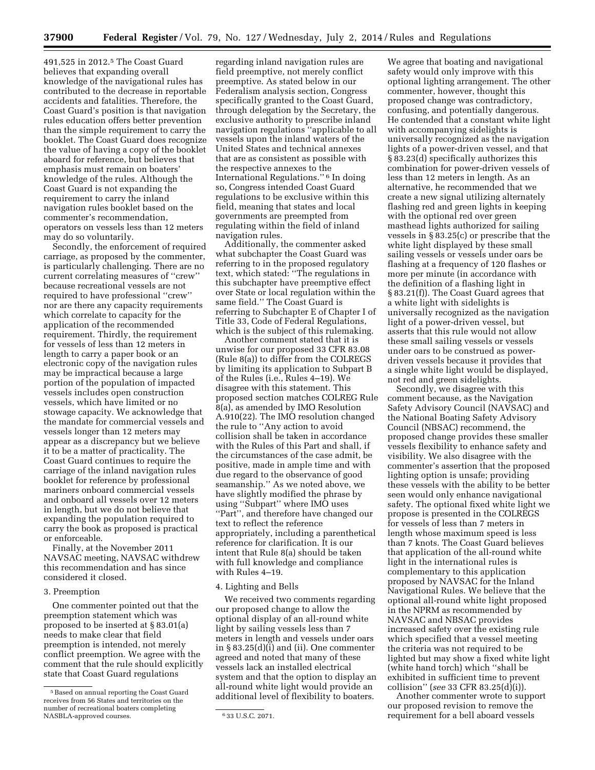491,525 in 2012.5 The Coast Guard believes that expanding overall knowledge of the navigational rules has contributed to the decrease in reportable accidents and fatalities. Therefore, the Coast Guard's position is that navigation rules education offers better prevention than the simple requirement to carry the booklet. The Coast Guard does recognize the value of having a copy of the booklet aboard for reference, but believes that emphasis must remain on boaters' knowledge of the rules. Although the Coast Guard is not expanding the requirement to carry the inland navigation rules booklet based on the commenter's recommendation, operators on vessels less than 12 meters may do so voluntarily.

Secondly, the enforcement of required carriage, as proposed by the commenter, is particularly challenging. There are no current correlating measures of ''crew'' because recreational vessels are not required to have professional ''crew'' nor are there any capacity requirements which correlate to capacity for the application of the recommended requirement. Thirdly, the requirement for vessels of less than 12 meters in length to carry a paper book or an electronic copy of the navigation rules may be impractical because a large portion of the population of impacted vessels includes open construction vessels, which have limited or no stowage capacity. We acknowledge that the mandate for commercial vessels and vessels longer than 12 meters may appear as a discrepancy but we believe it to be a matter of practicality. The Coast Guard continues to require the carriage of the inland navigation rules booklet for reference by professional mariners onboard commercial vessels and onboard all vessels over 12 meters in length, but we do not believe that expanding the population required to carry the book as proposed is practical or enforceable.

Finally, at the November 2011 NAVSAC meeting, NAVSAC withdrew this recommendation and has since considered it closed.

#### 3. Preemption

One commenter pointed out that the preemption statement which was proposed to be inserted at § 83.01(a) needs to make clear that field preemption is intended, not merely conflict preemption. We agree with the comment that the rule should explicitly state that Coast Guard regulations

regarding inland navigation rules are field preemptive, not merely conflict preemptive. As stated below in our Federalism analysis section, Congress specifically granted to the Coast Guard, through delegation by the Secretary, the exclusive authority to prescribe inland navigation regulations ''applicable to all vessels upon the inland waters of the United States and technical annexes that are as consistent as possible with the respective annexes to the International Regulations.'' 6 In doing so, Congress intended Coast Guard regulations to be exclusive within this field, meaning that states and local governments are preempted from regulating within the field of inland navigation rules.

Additionally, the commenter asked what subchapter the Coast Guard was referring to in the proposed regulatory text, which stated: ''The regulations in this subchapter have preemptive effect over State or local regulation within the same field.'' The Coast Guard is referring to Subchapter E of Chapter I of Title 33, Code of Federal Regulations, which is the subject of this rulemaking.

Another comment stated that it is unwise for our proposed 33 CFR 83.08 (Rule 8(a)) to differ from the COLREGS by limiting its application to Subpart B of the Rules (i.e., Rules 4–19). We disagree with this statement. This proposed section matches COLREG Rule 8(a), as amended by IMO Resolution A.910(22). The IMO resolution changed the rule to ''Any action to avoid collision shall be taken in accordance with the Rules of this Part and shall, if the circumstances of the case admit, be positive, made in ample time and with due regard to the observance of good seamanship.'' As we noted above, we have slightly modified the phrase by using ''Subpart'' where IMO uses ''Part'', and therefore have changed our text to reflect the reference appropriately, including a parenthetical reference for clarification. It is our intent that Rule 8(a) should be taken with full knowledge and compliance with Rules 4–19.

#### 4. Lighting and Bells

We received two comments regarding our proposed change to allow the optional display of an all-round white light by sailing vessels less than 7 meters in length and vessels under oars in § 83.25(d)(i) and (ii). One commenter agreed and noted that many of these vessels lack an installed electrical system and that the option to display an all-round white light would provide an additional level of flexibility to boaters.

We agree that boating and navigational safety would only improve with this optional lighting arrangement. The other commenter, however, thought this proposed change was contradictory, confusing, and potentially dangerous. He contended that a constant white light with accompanying sidelights is universally recognized as the navigation lights of a power-driven vessel, and that § 83.23(d) specifically authorizes this combination for power-driven vessels of less than 12 meters in length. As an alternative, he recommended that we create a new signal utilizing alternately flashing red and green lights in keeping with the optional red over green masthead lights authorized for sailing vessels in § 83.25(c) or prescribe that the white light displayed by these small sailing vessels or vessels under oars be flashing at a frequency of 120 flashes or more per minute (in accordance with the definition of a flashing light in § 83.21(f)). The Coast Guard agrees that a white light with sidelights is universally recognized as the navigation light of a power-driven vessel, but asserts that this rule would not allow these small sailing vessels or vessels under oars to be construed as powerdriven vessels because it provides that a single white light would be displayed, not red and green sidelights.

Secondly, we disagree with this comment because, as the Navigation Safety Advisory Council (NAVSAC) and the National Boating Safety Advisory Council (NBSAC) recommend, the proposed change provides these smaller vessels flexibility to enhance safety and visibility. We also disagree with the commenter's assertion that the proposed lighting option is unsafe; providing these vessels with the ability to be better seen would only enhance navigational safety. The optional fixed white light we propose is presented in the COLREGS for vessels of less than 7 meters in length whose maximum speed is less than 7 knots. The Coast Guard believes that application of the all-round white light in the international rules is complementary to this application proposed by NAVSAC for the Inland Navigational Rules. We believe that the optional all-round white light proposed in the NPRM as recommended by NAVSAC and NBSAC provides increased safety over the existing rule which specified that a vessel meeting the criteria was not required to be lighted but may show a fixed white light (white hand torch) which ''shall be exhibited in sufficient time to prevent collision'' (*see* 33 CFR 83.25(d)(i)).

Another commenter wrote to support our proposed revision to remove the requirement for a bell aboard vessels

<sup>5</sup>Based on annual reporting the Coast Guard receives from 56 States and territories on the number of recreational boaters completing NASBLA-approved courses. The contract of 33 U.S.C. 2071.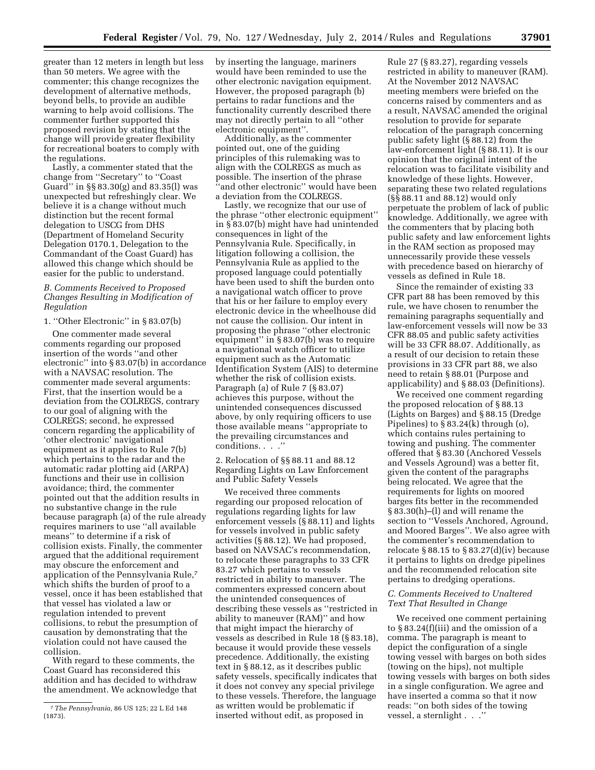greater than 12 meters in length but less than 50 meters. We agree with the commenter; this change recognizes the development of alternative methods, beyond bells, to provide an audible warning to help avoid collisions. The commenter further supported this proposed revision by stating that the change will provide greater flexibility for recreational boaters to comply with the regulations.

Lastly, a commenter stated that the change from ''Secretary'' to ''Coast Guard'' in §§ 83.30(g) and 83.35(l) was unexpected but refreshingly clear. We believe it is a change without much distinction but the recent formal delegation to USCG from DHS (Department of Homeland Security Delegation 0170.1, Delegation to the Commandant of the Coast Guard) has allowed this change which should be easier for the public to understand.

#### *B. Comments Received to Proposed Changes Resulting in Modification of Regulation*

#### 1. ''Other Electronic'' in § 83.07(b)

One commenter made several comments regarding our proposed insertion of the words ''and other electronic'' into § 83.07(b) in accordance with a NAVSAC resolution. The commenter made several arguments: First, that the insertion would be a deviation from the COLREGS, contrary to our goal of aligning with the COLREGS; second, he expressed concern regarding the applicability of 'other electronic' navigational equipment as it applies to Rule 7(b) which pertains to the radar and the automatic radar plotting aid (ARPA) functions and their use in collision avoidance; third, the commenter pointed out that the addition results in no substantive change in the rule because paragraph (a) of the rule already requires mariners to use ''all available means'' to determine if a risk of collision exists. Finally, the commenter argued that the additional requirement may obscure the enforcement and application of the Pennsylvania Rule,7 which shifts the burden of proof to a vessel, once it has been established that that vessel has violated a law or regulation intended to prevent collisions, to rebut the presumption of causation by demonstrating that the violation could not have caused the collision.

With regard to these comments, the Coast Guard has reconsidered this addition and has decided to withdraw the amendment. We acknowledge that by inserting the language, mariners would have been reminded to use the other electronic navigation equipment. However, the proposed paragraph (b) pertains to radar functions and the functionality currently described there may not directly pertain to all ''other electronic equipment''.

Additionally, as the commenter pointed out, one of the guiding principles of this rulemaking was to align with the COLREGS as much as possible. The insertion of the phrase ''and other electronic'' would have been a deviation from the COLREGS.

Lastly, we recognize that our use of the phrase ''other electronic equipment'' in § 83.07(b) might have had unintended consequences in light of the Pennsylvania Rule. Specifically, in litigation following a collision, the Pennsylvania Rule as applied to the proposed language could potentially have been used to shift the burden onto a navigational watch officer to prove that his or her failure to employ every electronic device in the wheelhouse did not cause the collision. Our intent in proposing the phrase ''other electronic equipment'' in § 83.07(b) was to require a navigational watch officer to utilize equipment such as the Automatic Identification System (AIS) to determine whether the risk of collision exists. Paragraph (a) of Rule 7 (§ 83.07) achieves this purpose, without the unintended consequences discussed above, by only requiring officers to use those available means ''appropriate to the prevailing circumstances and conditions. . . .''

2. Relocation of §§ 88.11 and 88.12 Regarding Lights on Law Enforcement and Public Safety Vessels

We received three comments regarding our proposed relocation of regulations regarding lights for law enforcement vessels (§ 88.11) and lights for vessels involved in public safety activities (§ 88.12). We had proposed, based on NAVSAC's recommendation, to relocate these paragraphs to 33 CFR 83.27 which pertains to vessels restricted in ability to maneuver. The commenters expressed concern about the unintended consequences of describing these vessels as ''restricted in ability to maneuver (RAM)'' and how that might impact the hierarchy of vessels as described in Rule 18 (§ 83.18), because it would provide these vessels precedence. Additionally, the existing text in § 88.12, as it describes public safety vessels, specifically indicates that it does not convey any special privilege to these vessels. Therefore, the language as written would be problematic if inserted without edit, as proposed in

Rule 27 (§ 83.27), regarding vessels restricted in ability to maneuver (RAM). At the November 2012 NAVSAC meeting members were briefed on the concerns raised by commenters and as a result, NAVSAC amended the original resolution to provide for separate relocation of the paragraph concerning public safety light (§ 88.12) from the law-enforcement light (§ 88.11). It is our opinion that the original intent of the relocation was to facilitate visibility and knowledge of these lights. However, separating these two related regulations (§§ 88.11 and 88.12) would only perpetuate the problem of lack of public knowledge. Additionally, we agree with the commenters that by placing both public safety and law enforcement lights in the RAM section as proposed may unnecessarily provide these vessels with precedence based on hierarchy of vessels as defined in Rule 18.

Since the remainder of existing 33 CFR part 88 has been removed by this rule, we have chosen to renumber the remaining paragraphs sequentially and law-enforcement vessels will now be 33 CFR 88.05 and public safety activities will be 33 CFR 88.07. Additionally, as a result of our decision to retain these provisions in 33 CFR part 88, we also need to retain § 88.01 (Purpose and applicability) and § 88.03 (Definitions).

We received one comment regarding the proposed relocation of § 88.13 (Lights on Barges) and § 88.15 (Dredge Pipelines) to § 83.24(k) through (o), which contains rules pertaining to towing and pushing. The commenter offered that § 83.30 (Anchored Vessels and Vessels Aground) was a better fit, given the content of the paragraphs being relocated. We agree that the requirements for lights on moored barges fits better in the recommended § 83.30(h)–(l) and will rename the section to ''Vessels Anchored, Aground, and Moored Barges''. We also agree with the commenter's recommendation to relocate  $\S 88.15$  to  $\S 83.27(d)(iv)$  because it pertains to lights on dredge pipelines and the recommended relocation site pertains to dredging operations.

#### *C. Comments Received to Unaltered Text That Resulted in Change*

We received one comment pertaining to § 83.24(f)(iii) and the omission of a comma. The paragraph is meant to depict the configuration of a single towing vessel with barges on both sides (towing on the hips), not multiple towing vessels with barges on both sides in a single configuration. We agree and have inserted a comma so that it now reads: ''on both sides of the towing vessel, a sternlight . . .''

<sup>7</sup>*The Pennsylvania,* 86 US 125; 22 L Ed 148 (1873).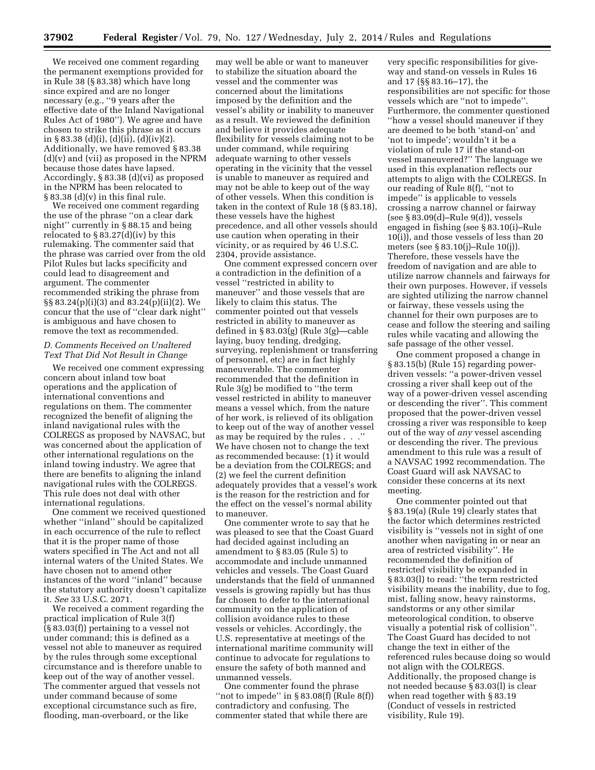We received one comment regarding the permanent exemptions provided for in Rule 38 (§ 83.38) which have long since expired and are no longer necessary (e.g., ''9 years after the effective date of the Inland Navigational Rules Act of 1980''). We agree and have chosen to strike this phrase as it occurs in § 83.38 (d)(i), (d)(ii), (d)(iv)(2). Additionally, we have removed § 83.38 (d)(v) and (vii) as proposed in the NPRM because those dates have lapsed. Accordingly, § 83.38 (d)(vi) as proposed in the NPRM has been relocated to  $§ 83.38$  (d)(v) in this final rule.

We received one comment regarding the use of the phrase ''on a clear dark night'' currently in § 88.15 and being relocated to § 83.27(d)(iv) by this rulemaking. The commenter said that the phrase was carried over from the old Pilot Rules but lacks specificity and could lead to disagreement and argument. The commenter recommended striking the phrase from §§ 83.24(p)(i)(3) and 83.24(p)(ii)(2). We concur that the use of ''clear dark night'' is ambiguous and have chosen to remove the text as recommended.

#### *D. Comments Received on Unaltered Text That Did Not Result in Change*

We received one comment expressing concern about inland tow boat operations and the application of international conventions and regulations on them. The commenter recognized the benefit of aligning the inland navigational rules with the COLREGS as proposed by NAVSAC, but was concerned about the application of other international regulations on the inland towing industry. We agree that there are benefits to aligning the inland navigational rules with the COLREGS. This rule does not deal with other international regulations.

One comment we received questioned whether ''inland'' should be capitalized in each occurrence of the rule to reflect that it is the proper name of those waters specified in The Act and not all internal waters of the United States. We have chosen not to amend other instances of the word ''inland'' because the statutory authority doesn't capitalize it. *See* 33 U.S.C. 2071.

We received a comment regarding the practical implication of Rule 3(f) (§ 83.03(f)) pertaining to a vessel not under command; this is defined as a vessel not able to maneuver as required by the rules through some exceptional circumstance and is therefore unable to keep out of the way of another vessel. The commenter argued that vessels not under command because of some exceptional circumstance such as fire, flooding, man-overboard, or the like

may well be able or want to maneuver to stabilize the situation aboard the vessel and the commenter was concerned about the limitations imposed by the definition and the vessel's ability or inability to maneuver as a result. We reviewed the definition and believe it provides adequate flexibility for vessels claiming not to be under command, while requiring adequate warning to other vessels operating in the vicinity that the vessel is unable to maneuver as required and may not be able to keep out of the way of other vessels. When this condition is taken in the context of Rule 18 (§ 83.18), these vessels have the highest precedence, and all other vessels should use caution when operating in their vicinity, or as required by 46 U.S.C. 2304, provide assistance.

One comment expressed concern over a contradiction in the definition of a vessel ''restricted in ability to maneuver'' and those vessels that are likely to claim this status. The commenter pointed out that vessels restricted in ability to maneuver as defined in § 83.03(g) (Rule 3(g)—cable laying, buoy tending, dredging, surveying, replenishment or transferring of personnel, etc) are in fact highly maneuverable. The commenter recommended that the definition in Rule 3(g) be modified to ''the term vessel restricted in ability to maneuver means a vessel which, from the nature of her work, is relieved of its obligation to keep out of the way of another vessel as may be required by the rules . . .'' We have chosen not to change the text as recommended because: (1) it would be a deviation from the COLREGS; and (2) we feel the current definition adequately provides that a vessel's work is the reason for the restriction and for the effect on the vessel's normal ability to maneuver.

One commenter wrote to say that he was pleased to see that the Coast Guard had decided against including an amendment to § 83.05 (Rule 5) to accommodate and include unmanned vehicles and vessels. The Coast Guard understands that the field of unmanned vessels is growing rapidly but has thus far chosen to defer to the international community on the application of collision avoidance rules to these vessels or vehicles. Accordingly, the U.S. representative at meetings of the international maritime community will continue to advocate for regulations to ensure the safety of both manned and unmanned vessels.

One commenter found the phrase "not to impede" in  $\S 83.08(f)$  (Rule 8(f)) contradictory and confusing. The commenter stated that while there are

very specific responsibilities for giveway and stand-on vessels in Rules 16 and 17 (§§ 83.16–17), the responsibilities are not specific for those vessels which are ''not to impede''. Furthermore, the commenter questioned ''how a vessel should maneuver if they are deemed to be both 'stand-on' and 'not to impede'; wouldn't it be a violation of rule 17 if the stand-on vessel maneuvered?'' The language we used in this explanation reflects our attempts to align with the COLREGS. In our reading of Rule 8(f), ''not to impede'' is applicable to vessels crossing a narrow channel or fairway (see § 83.09(d)–Rule 9(d)), vessels engaged in fishing (see § 83.10(i)–Rule 10(i)), and those vessels of less than 20 meters (see § 83.10(j)–Rule 10(j)). Therefore, these vessels have the freedom of navigation and are able to utilize narrow channels and fairways for their own purposes. However, if vessels are sighted utilizing the narrow channel or fairway, these vessels using the channel for their own purposes are to cease and follow the steering and sailing rules while vacating and allowing the safe passage of the other vessel.

One comment proposed a change in § 83.15(b) (Rule 15) regarding powerdriven vessels: ''a power-driven vessel crossing a river shall keep out of the way of a power-driven vessel ascending or descending the river''. This comment proposed that the power-driven vessel crossing a river was responsible to keep out of the way of *any* vessel ascending or descending the river. The previous amendment to this rule was a result of a NAVSAC 1992 recommendation. The Coast Guard will ask NAVSAC to consider these concerns at its next meeting.

One commenter pointed out that § 83.19(a) (Rule 19) clearly states that the factor which determines restricted visibility is ''vessels not in sight of one another when navigating in or near an area of restricted visibility''. He recommended the definition of restricted visibility be expanded in § 83.03(l) to read: ''the term restricted visibility means the inability, due to fog, mist, falling snow, heavy rainstorms, sandstorms or any other similar meteorological condition, to observe visually a potential risk of collision''. The Coast Guard has decided to not change the text in either of the referenced rules because doing so would not align with the COLREGS. Additionally, the proposed change is not needed because § 83.03(l) is clear when read together with § 83.19 (Conduct of vessels in restricted visibility, Rule 19).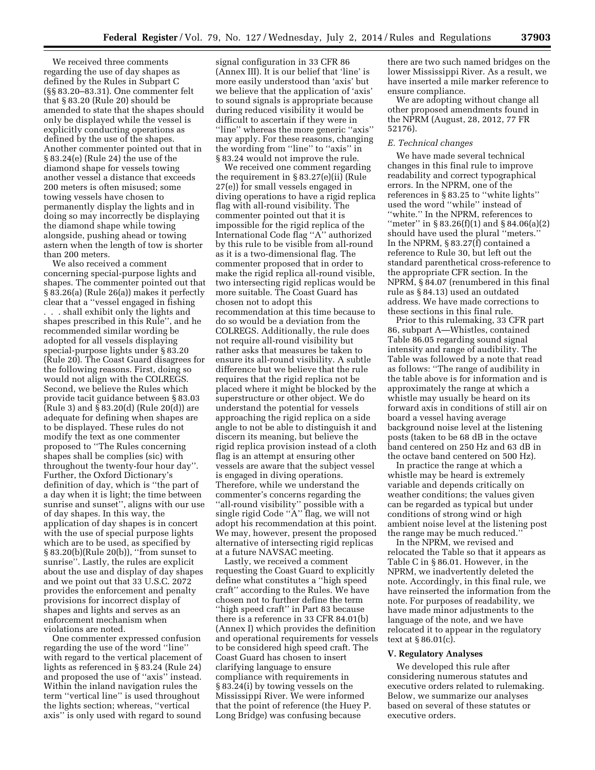We received three comments regarding the use of day shapes as defined by the Rules in Subpart C (§§ 83.20–83.31). One commenter felt that § 83.20 (Rule 20) should be amended to state that the shapes should only be displayed while the vessel is explicitly conducting operations as defined by the use of the shapes. Another commenter pointed out that in § 83.24(e) (Rule 24) the use of the diamond shape for vessels towing another vessel a distance that exceeds 200 meters is often misused; some towing vessels have chosen to permanently display the lights and in doing so may incorrectly be displaying the diamond shape while towing alongside, pushing ahead or towing astern when the length of tow is shorter than 200 meters.

We also received a comment concerning special-purpose lights and shapes. The commenter pointed out that § 83.26(a) (Rule 26(a)) makes it perfectly clear that a ''vessel engaged in fishing . . . shall exhibit only the lights and shapes prescribed in this Rule'', and he recommended similar wording be adopted for all vessels displaying special-purpose lights under § 83.20 (Rule 20). The Coast Guard disagrees for the following reasons. First, doing so would not align with the COLREGS. Second, we believe the Rules which provide tacit guidance between § 83.03 (Rule 3) and § 83.20(d) (Rule 20(d)) are adequate for defining when shapes are to be displayed. These rules do not modify the text as one commenter proposed to ''The Rules concerning shapes shall be complies (sic) with throughout the twenty-four hour day''. Further, the Oxford Dictionary's definition of day, which is ''the part of a day when it is light; the time between sunrise and sunset'', aligns with our use of day shapes. In this way, the application of day shapes is in concert with the use of special purpose lights which are to be used, as specified by § 83.20(b)(Rule 20(b)), ''from sunset to sunrise''. Lastly, the rules are explicit about the use and display of day shapes and we point out that 33 U.S.C. 2072 provides the enforcement and penalty provisions for incorrect display of shapes and lights and serves as an enforcement mechanism when violations are noted.

One commenter expressed confusion regarding the use of the word ''line'' with regard to the vertical placement of lights as referenced in § 83.24 (Rule 24) and proposed the use of ''axis'' instead. Within the inland navigation rules the term ''vertical line'' is used throughout the lights section; whereas, ''vertical axis'' is only used with regard to sound

signal configuration in 33 CFR 86 (Annex III). It is our belief that 'line' is more easily understood than 'axis' but we believe that the application of 'axis' to sound signals is appropriate because during reduced visibility it would be difficult to ascertain if they were in ''line'' whereas the more generic ''axis'' may apply. For these reasons, changing the wording from ''line'' to ''axis'' in § 83.24 would not improve the rule.

We received one comment regarding the requirement in § 83.27(e)(ii) (Rule 27(e)) for small vessels engaged in diving operations to have a rigid replica flag with all-round visibility. The commenter pointed out that it is impossible for the rigid replica of the International Code flag ''A'' authorized by this rule to be visible from all-round as it is a two-dimensional flag. The commenter proposed that in order to make the rigid replica all-round visible, two intersecting rigid replicas would be more suitable. The Coast Guard has chosen not to adopt this recommendation at this time because to do so would be a deviation from the COLREGS. Additionally, the rule does not require all-round visibility but rather asks that measures be taken to ensure its all-round visibility. A subtle difference but we believe that the rule requires that the rigid replica not be placed where it might be blocked by the superstructure or other object. We do understand the potential for vessels approaching the rigid replica on a side angle to not be able to distinguish it and discern its meaning, but believe the rigid replica provision instead of a cloth flag is an attempt at ensuring other vessels are aware that the subject vessel is engaged in diving operations. Therefore, while we understand the commenter's concerns regarding the ''all-round visibility'' possible with a single rigid Code ''A'' flag, we will not adopt his recommendation at this point. We may, however, present the proposed alternative of intersecting rigid replicas at a future NAVSAC meeting.

Lastly, we received a comment requesting the Coast Guard to explicitly define what constitutes a ''high speed craft'' according to the Rules. We have chosen not to further define the term "high speed craft" in Part 83 because there is a reference in 33 CFR 84.01(b) (Annex I) which provides the definition and operational requirements for vessels to be considered high speed craft. The Coast Guard has chosen to insert clarifying language to ensure compliance with requirements in § 83.24(i) by towing vessels on the Mississippi River. We were informed that the point of reference (the Huey P. Long Bridge) was confusing because

there are two such named bridges on the lower Mississippi River. As a result, we have inserted a mile marker reference to ensure compliance.

We are adopting without change all other proposed amendments found in the NPRM (August, 28, 2012, 77 FR 52176).

#### *E. Technical changes*

We have made several technical changes in this final rule to improve readability and correct typographical errors. In the NPRM, one of the references in § 83.25 to ''white lights'' used the word ''while'' instead of ''white.'' In the NPRM, references to "meter" in  $\S 83.26(f)(1)$  and  $\S 84.06(a)(2)$ should have used the plural ''meters.'' In the NPRM, § 83.27(f) contained a reference to Rule 30, but left out the standard parenthetical cross-reference to the appropriate CFR section. In the NPRM, § 84.07 (renumbered in this final rule as § 84.13) used an outdated address. We have made corrections to these sections in this final rule.

Prior to this rulemaking, 33 CFR part 86, subpart A—Whistles, contained Table 86.05 regarding sound signal intensity and range of audibility. The Table was followed by a note that read as follows: ''The range of audibility in the table above is for information and is approximately the range at which a whistle may usually be heard on its forward axis in conditions of still air on board a vessel having average background noise level at the listening posts (taken to be 68 dB in the octave band centered on 250 Hz and 63 dB in the octave band centered on 500 Hz).

In practice the range at which a whistle may be heard is extremely variable and depends critically on weather conditions; the values given can be regarded as typical but under conditions of strong wind or high ambient noise level at the listening post the range may be much reduced.''

In the NPRM, we revised and relocated the Table so that it appears as Table C in § 86.01. However, in the NPRM, we inadvertently deleted the note. Accordingly, in this final rule, we have reinserted the information from the note. For purposes of readability, we have made minor adjustments to the language of the note, and we have relocated it to appear in the regulatory text at § 86.01(c).

#### **V. Regulatory Analyses**

We developed this rule after considering numerous statutes and executive orders related to rulemaking. Below, we summarize our analyses based on several of these statutes or executive orders.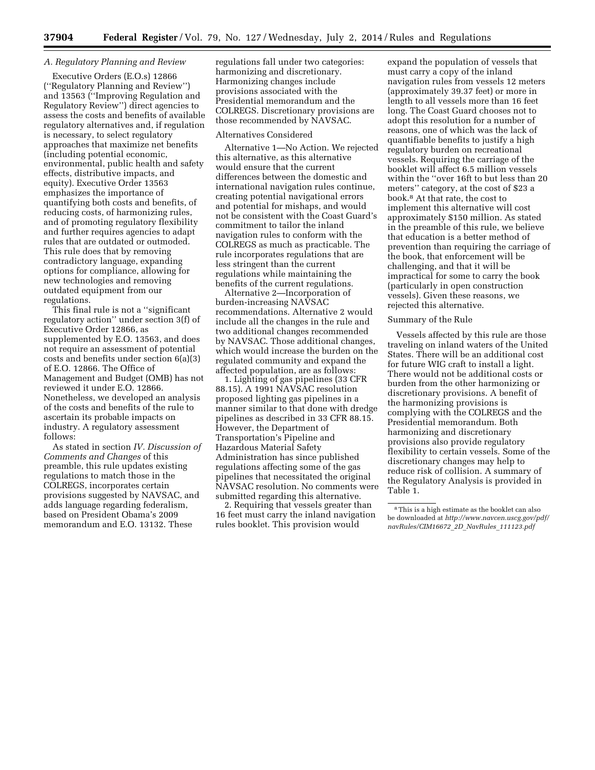#### *A. Regulatory Planning and Review*

Executive Orders (E.O.s) 12866 (''Regulatory Planning and Review'') and 13563 (''Improving Regulation and Regulatory Review'') direct agencies to assess the costs and benefits of available regulatory alternatives and, if regulation is necessary, to select regulatory approaches that maximize net benefits (including potential economic, environmental, public health and safety effects, distributive impacts, and equity). Executive Order 13563 emphasizes the importance of quantifying both costs and benefits, of reducing costs, of harmonizing rules, and of promoting regulatory flexibility and further requires agencies to adapt rules that are outdated or outmoded. This rule does that by removing contradictory language, expanding options for compliance, allowing for new technologies and removing outdated equipment from our regulations.

This final rule is not a ''significant regulatory action'' under section 3(f) of Executive Order 12866, as supplemented by E.O. 13563, and does not require an assessment of potential costs and benefits under section 6(a)(3) of E.O. 12866. The Office of Management and Budget (OMB) has not reviewed it under E.O. 12866. Nonetheless, we developed an analysis of the costs and benefits of the rule to ascertain its probable impacts on industry. A regulatory assessment follows:

As stated in section *IV. Discussion of Comments and Changes* of this preamble, this rule updates existing regulations to match those in the COLREGS, incorporates certain provisions suggested by NAVSAC, and adds language regarding federalism, based on President Obama's 2009 memorandum and E.O. 13132. These

regulations fall under two categories: harmonizing and discretionary. Harmonizing changes include provisions associated with the Presidential memorandum and the COLREGS. Discretionary provisions are those recommended by NAVSAC.

#### Alternatives Considered

Alternative 1—No Action. We rejected this alternative, as this alternative would ensure that the current differences between the domestic and international navigation rules continue, creating potential navigational errors and potential for mishaps, and would not be consistent with the Coast Guard's commitment to tailor the inland navigation rules to conform with the COLREGS as much as practicable. The rule incorporates regulations that are less stringent than the current regulations while maintaining the benefits of the current regulations.

Alternative 2—Incorporation of burden-increasing NAVSAC recommendations. Alternative 2 would include all the changes in the rule and two additional changes recommended by NAVSAC. Those additional changes, which would increase the burden on the regulated community and expand the affected population, are as follows:

1. Lighting of gas pipelines (33 CFR 88.15). A 1991 NAVSAC resolution proposed lighting gas pipelines in a manner similar to that done with dredge pipelines as described in 33 CFR 88.15. However, the Department of Transportation's Pipeline and Hazardous Material Safety Administration has since published regulations affecting some of the gas pipelines that necessitated the original NAVSAC resolution. No comments were submitted regarding this alternative.

2. Requiring that vessels greater than 16 feet must carry the inland navigation rules booklet. This provision would

expand the population of vessels that must carry a copy of the inland navigation rules from vessels 12 meters (approximately 39.37 feet) or more in length to all vessels more than 16 feet long. The Coast Guard chooses not to adopt this resolution for a number of reasons, one of which was the lack of quantifiable benefits to justify a high regulatory burden on recreational vessels. Requiring the carriage of the booklet will affect 6.5 million vessels within the ''over 16ft to but less than 20 meters'' category, at the cost of \$23 a book.8 At that rate, the cost to implement this alternative will cost approximately \$150 million. As stated in the preamble of this rule, we believe that education is a better method of prevention than requiring the carriage of the book, that enforcement will be challenging, and that it will be impractical for some to carry the book (particularly in open construction vessels). Given these reasons, we rejected this alternative.

#### Summary of the Rule

Vessels affected by this rule are those traveling on inland waters of the United States. There will be an additional cost for future WIG craft to install a light. There would not be additional costs or burden from the other harmonizing or discretionary provisions. A benefit of the harmonizing provisions is complying with the COLREGS and the Presidential memorandum. Both harmonizing and discretionary provisions also provide regulatory flexibility to certain vessels. Some of the discretionary changes may help to reduce risk of collision. A summary of the Regulatory Analysis is provided in Table 1.

<sup>8</sup>This is a high estimate as the booklet can also be downloaded at *[http://www.navcen.uscg.gov/pdf/](http://www.navcen.uscg.gov/pdf/navRules/CIM16672_2D_NavRules_111123.pdf) [navRules/CIM16672](http://www.navcen.uscg.gov/pdf/navRules/CIM16672_2D_NavRules_111123.pdf)*\_*2D*\_*NavRules*\_*111123.pdf*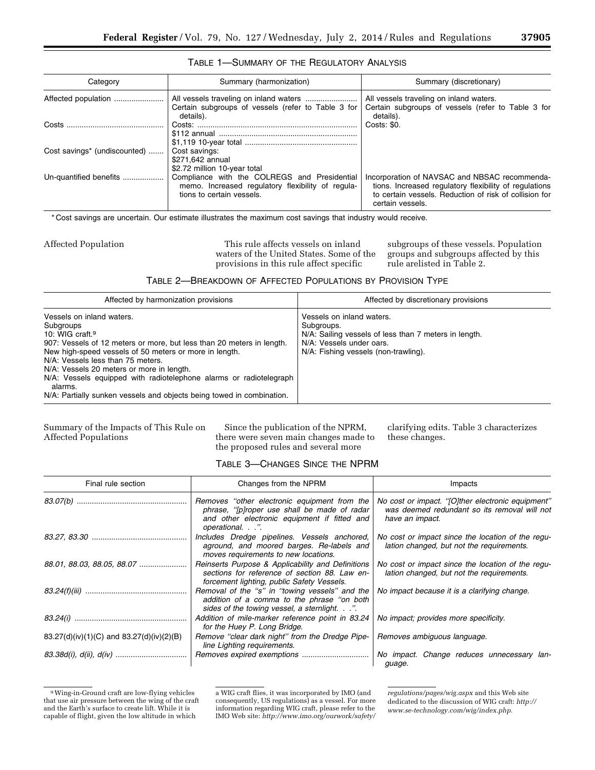### TABLE 1—SUMMARY OF THE REGULATORY ANALYSIS

| Category                     | Summary (harmonization)                                                                                                        | Summary (discretionary)                                                                                                                                                               |
|------------------------------|--------------------------------------------------------------------------------------------------------------------------------|---------------------------------------------------------------------------------------------------------------------------------------------------------------------------------------|
| Affected population          | Certain subgroups of vessels (refer to Table 3 for<br>details).                                                                | All vessels traveling on inland waters.<br>Certain subgroups of vessels (refer to Table 3 for<br>details).                                                                            |
|                              |                                                                                                                                | Costs: \$0.                                                                                                                                                                           |
| Cost savings* (undiscounted) | Cost savings:<br>\$271,642 annual<br>\$2.72 million 10-year total                                                              |                                                                                                                                                                                       |
| Un-quantified benefits       | Compliance with the COLREGS and Presidential<br>memo. Increased regulatory flexibility of regula-<br>tions to certain vessels. | Incorporation of NAVSAC and NBSAC recommenda-<br>tions. Increased regulatory flexibility of regulations<br>to certain vessels. Reduction of risk of collision for<br>certain vessels. |

\* Cost savings are uncertain. Our estimate illustrates the maximum cost savings that industry would receive.

Affected Population This rule affects vessels on inland waters of the United States. Some of the provisions in this rule affect specific

subgroups of these vessels. Population groups and subgroups affected by this rule arelisted in Table 2.

#### TABLE 2—BREAKDOWN OF AFFECTED POPULATIONS BY PROVISION TYPE

| Affected by harmonization provisions                                                                                                                                                                                                                                                                                                                                                                                                        | Affected by discretionary provisions                                                                                                                                 |
|---------------------------------------------------------------------------------------------------------------------------------------------------------------------------------------------------------------------------------------------------------------------------------------------------------------------------------------------------------------------------------------------------------------------------------------------|----------------------------------------------------------------------------------------------------------------------------------------------------------------------|
| Vessels on inland waters.<br>Subgroups<br>10: WIG craft. $9$<br>907: Vessels of 12 meters or more, but less than 20 meters in length.<br>New high-speed vessels of 50 meters or more in length.<br>N/A: Vessels less than 75 meters.<br>N/A: Vessels 20 meters or more in length.<br>N/A: Vessels equipped with radiotelephone alarms or radiotelegraph<br>alarms.<br>N/A: Partially sunken vessels and objects being towed in combination. | Vessels on inland waters.<br>Subgroups.<br>N/A: Sailing vessels of less than 7 meters in length.<br>N/A: Vessels under oars.<br>N/A: Fishing vessels (non-trawling). |

Summary of the Impacts of This Rule on Affected Populations

Since the publication of the NPRM, there were seven main changes made to the proposed rules and several more

clarifying edits. Table 3 characterizes these changes.

#### TABLE 3—CHANGES SINCE THE NPRM

| Final rule section                        | Changes from the NPRM                                                                                                                                          | Impacts                                                                                                              |
|-------------------------------------------|----------------------------------------------------------------------------------------------------------------------------------------------------------------|----------------------------------------------------------------------------------------------------------------------|
|                                           | Removes "other electronic equipment from the<br>phrase, "[p]roper use shall be made of radar<br>and other electronic equipment if fitted and<br>operational.". | No cost or impact. "[O]ther electronic equipment"<br>was deemed redundant so its removal will not<br>have an impact. |
|                                           | Includes Dredge pipelines. Vessels anchored,<br>aground, and moored barges. Re-labels and<br>moves requirements to new locations.                              | No cost or impact since the location of the regu-<br>lation changed, but not the requirements.                       |
|                                           | Reinserts Purpose & Applicability and Definitions<br>sections for reference of section 88. Law en-<br>forcement lighting, public Safety Vessels.               | No cost or impact since the location of the regu-<br>lation changed, but not the requirements.                       |
|                                           | Removal of the "s" in "towing vessels" and the<br>addition of a comma to the phrase "on both<br>sides of the towing vessel, a sternlight.".                    | No impact because it is a clarifying change.                                                                         |
|                                           | Addition of mile-marker reference point in 83.24<br>for the Huey P. Long Bridge.                                                                               | No impact; provides more specificity.                                                                                |
| 83.27(d)(iv)(1)(C) and 83.27(d)(iv)(2)(B) | Remove "clear dark night" from the Dredge Pipe-<br>line Lighting requirements.                                                                                 | Removes ambiguous language.                                                                                          |
|                                           |                                                                                                                                                                | No impact. Change reduces unnecessary lan-<br>guage.                                                                 |

<sup>9</sup>Wing-in-Ground craft are low-flying vehicles that use air pressure between the wing of the craft and the Earth's surface to create lift. While it is capable of flight, given the low altitude in which

a WIG craft flies, it was incorporated by IMO (and consequently, US regulations) as a vessel. For more information regarding WIG craft, please refer to the IMO Web site: *[http://www.imo.org/ourwork/safety/](http://www.imo.org/ourwork/safety/regulations/pages/wig.aspx)* 

*[regulations/pages/wig.aspx](http://www.imo.org/ourwork/safety/regulations/pages/wig.aspx)* and this Web site dedicated to the discussion of WIG craft: *[http://](http://www.se-technology.com/wig/index.php) [www.se-technology.com/wig/index.php](http://www.se-technology.com/wig/index.php)*.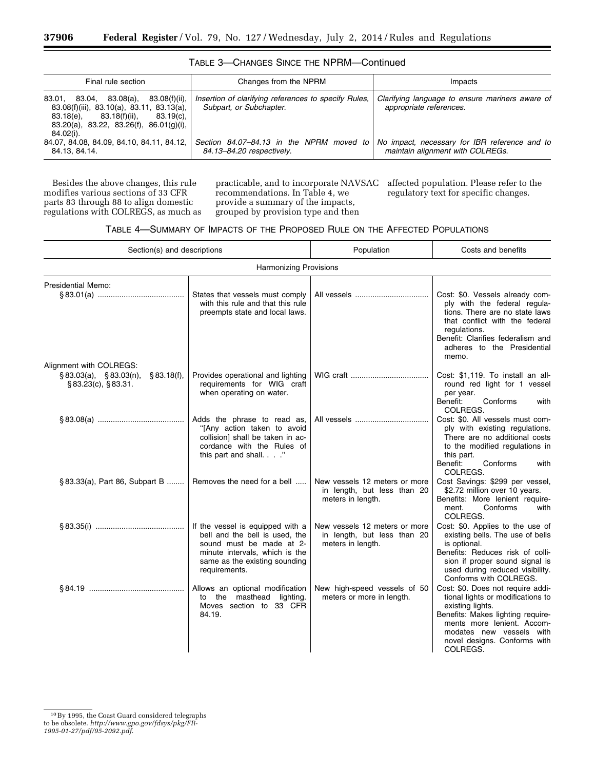| Final rule section                                                                                                                                                                          | Changes from the NPRM                                                           | Impacts                                                                                                                    |
|---------------------------------------------------------------------------------------------------------------------------------------------------------------------------------------------|---------------------------------------------------------------------------------|----------------------------------------------------------------------------------------------------------------------------|
| 83.04, 83.08(a),<br>83.08(f)(ii),<br>83.01.<br>83.08(f)(iii), 83.10(a), 83.11, 83.13(a),<br>83.18(e),<br>83.18(f)(ii),<br>83.19(c),<br>83.20(a), 83.22, 83.26(f), 86.01(g)(i),<br>84.02(i). | Insertion of clarifying references to specify Rules,<br>Subpart, or Subchapter. | Clarifying language to ensure mariners aware of<br>appropriate references.                                                 |
| 84.07, 84.08, 84.09, 84.10, 84.11, 84.12,<br>84.13.84.14.                                                                                                                                   | 84.13-84.20 respectively.                                                       | Section 84.07–84.13 in the NPRM moved to No impact, necessary for IBR reference and to<br>maintain alignment with COLREGs. |

#### TABLE 3—CHANGES SINCE THE NPRM—Continued

Besides the above changes, this rule modifies various sections of 33 CFR parts 83 through 88 to align domestic regulations with COLREGS, as much as

recommendations. In Table 4, we provide a summary of the impacts, grouped by provision type and then

practicable, and to incorporate NAVSAC affected population. Please refer to the regulatory text for specific changes.

#### TABLE 4—SUMMARY OF IMPACTS OF THE PROPOSED RULE ON THE AFFECTED POPULATIONS

| Section(s) and descriptions                                                                 |                                                                                                                                                                                    | Population                                                                        | Costs and benefits                                                                                                                                                                                                                    |
|---------------------------------------------------------------------------------------------|------------------------------------------------------------------------------------------------------------------------------------------------------------------------------------|-----------------------------------------------------------------------------------|---------------------------------------------------------------------------------------------------------------------------------------------------------------------------------------------------------------------------------------|
|                                                                                             | <b>Harmonizing Provisions</b>                                                                                                                                                      |                                                                                   |                                                                                                                                                                                                                                       |
| Presidential Memo:                                                                          | States that vessels must comply<br>with this rule and that this rule<br>preempts state and local laws.                                                                             |                                                                                   | Cost: \$0. Vessels already com-<br>ply with the federal regula-<br>tions. There are no state laws<br>that conflict with the federal<br>regulations.<br>Benefit: Clarifies federalism and<br>adheres to the Presidential<br>memo.      |
| Alignment with COLREGS:<br>$§ 83.03(a), \§ 83.03(n),$<br>§83.18(f),<br>§ 83.23(c), § 83.31. | Provides operational and lighting<br>requirements for WIG craft<br>when operating on water.                                                                                        |                                                                                   | Cost: \$1,119. To install an all-<br>round red light for 1 vessel<br>per year.<br>Benefit:<br>Conforms<br>with<br>COLREGS.                                                                                                            |
|                                                                                             | Adds the phrase to read as,<br>"[Any action taken to avoid<br>collision] shall be taken in ac-<br>cordance with the Rules of<br>this part and shall."                              |                                                                                   | Cost: \$0. All vessels must com-<br>ply with existing regulations.<br>There are no additional costs<br>to the modified regulations in<br>this part.<br>Conforms<br>Benefit:<br>with<br>COLREGS.                                       |
| §83.33(a), Part 86, Subpart B                                                               | Removes the need for a bell                                                                                                                                                        | New vessels 12 meters or more<br>in length, but less than 20<br>meters in length. | Cost Savings: \$299 per vessel,<br>\$2.72 million over 10 years.<br>Benefits: More lenient require-<br>Conforms<br>ment.<br>with<br>COLREGS.                                                                                          |
|                                                                                             | If the vessel is equipped with a<br>bell and the bell is used, the<br>sound must be made at 2-<br>minute intervals, which is the<br>same as the existing sounding<br>requirements. | New vessels 12 meters or more<br>in length, but less than 20<br>meters in length. | Cost: \$0. Applies to the use of<br>existing bells. The use of bells<br>is optional.<br>Benefits: Reduces risk of colli-<br>sion if proper sound signal is<br>used during reduced visibility.<br>Conforms with COLREGS.               |
|                                                                                             | Allows an optional modification<br>masthead lighting.<br>to the<br>Moves section to 33 CFR<br>84.19.                                                                               | New high-speed vessels of 50<br>meters or more in length.                         | Cost: \$0. Does not require addi-<br>tional lights or modifications to<br>existing lights.<br>Benefits: Makes lighting require-<br>ments more lenient. Accom-<br>modates new vessels with<br>novel designs. Conforms with<br>COLREGS. |

<sup>10</sup>By 1995, the Coast Guard considered telegraphs to be obsolete. *[http://www.gpo.gov/fdsys/pkg/FR-](http://www.gpo.gov/fdsys/pkg/FR-1995-01-27/pdf/95-2092.pdf)[1995-01-27/pdf/95-2092.pdf](http://www.gpo.gov/fdsys/pkg/FR-1995-01-27/pdf/95-2092.pdf)*.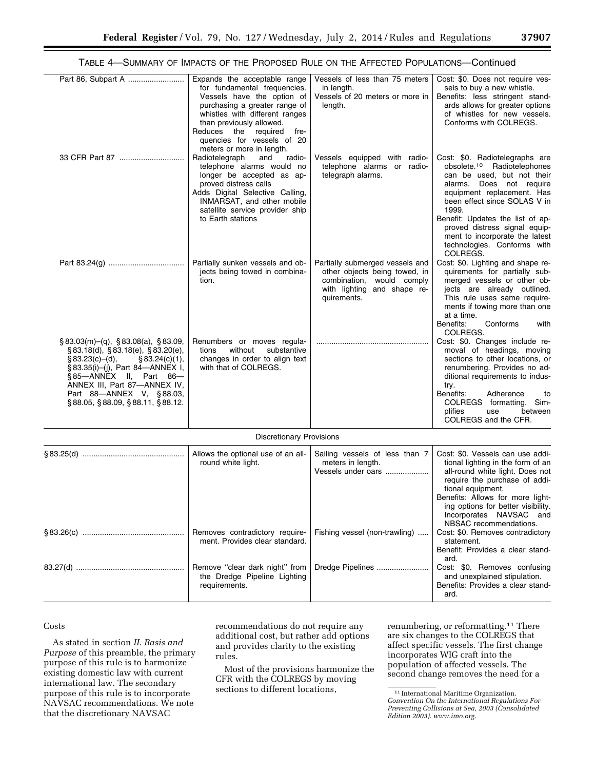#### TABLE 4—SUMMARY OF IMPACTS OF THE PROPOSED RULE ON THE AFFECTED POPULATIONS—Continued

|                                                                                                                                                                                                                                                                                            | Expands the acceptable range<br>for fundamental frequencies.<br>Vessels have the option of<br>purchasing a greater range of<br>whistles with different ranges<br>than previously allowed.<br>Reduces the required<br>fre-<br>quencies for vessels of 20<br>meters or more in length. | Vessels of less than 75 meters<br>in length.<br>Vessels of 20 meters or more in<br>length.                                                  | Cost: \$0. Does not require ves-<br>sels to buy a new whistle.<br>Benefits: less stringent stand-<br>ards allows for greater options<br>of whistles for new vessels.<br>Conforms with COLREGS.                                                                                                                                                               |
|--------------------------------------------------------------------------------------------------------------------------------------------------------------------------------------------------------------------------------------------------------------------------------------------|--------------------------------------------------------------------------------------------------------------------------------------------------------------------------------------------------------------------------------------------------------------------------------------|---------------------------------------------------------------------------------------------------------------------------------------------|--------------------------------------------------------------------------------------------------------------------------------------------------------------------------------------------------------------------------------------------------------------------------------------------------------------------------------------------------------------|
|                                                                                                                                                                                                                                                                                            | Radiotelegraph<br>and<br>radio-<br>telephone alarms would no<br>longer be accepted as ap-<br>proved distress calls<br>Adds Digital Selective Calling,<br>INMARSAT, and other mobile<br>satellite service provider ship<br>to Earth stations                                          | Vessels equipped with radio-<br>telephone alarms or radio-<br>telegraph alarms.                                                             | Cost: \$0. Radiotelegraphs are<br>obsolete. <sup>10</sup> Radiotelephones<br>can be used, but not their<br>alarms. Does not require<br>equipment replacement. Has<br>been effect since SOLAS V in<br>1999.<br>Benefit: Updates the list of ap-<br>proved distress signal equip-<br>ment to incorporate the latest<br>technologies. Conforms with<br>COLREGS. |
|                                                                                                                                                                                                                                                                                            | Partially sunken vessels and ob-<br>jects being towed in combina-<br>tion.                                                                                                                                                                                                           | Partially submerged vessels and<br>other objects being towed, in<br>combination, would comply<br>with lighting and shape re-<br>quirements. | Cost: \$0. Lighting and shape re-<br>quirements for partially sub-<br>merged vessels or other ob-<br>jects are already outlined.<br>This rule uses same require-<br>ments if towing more than one<br>at a time.<br>Benefits:<br>Conforms<br>with<br>COLREGS.                                                                                                 |
| $\S 83.03(m)$ - (q), $\S 83.08(a)$ , $\S 83.09$ ,<br>§ 83.18(d), § 83.18(e), § 83.20(e),<br>§ 83.23(c)–(d),<br>§ 83.24(c)(1),<br>§ 83.35(i)-(j), Part 84-ANNEX I,<br>§85-ANNEX II, Part 86-<br>ANNEX III, Part 87-ANNEX IV,<br>Part 88-ANNEX V, §88.03,<br>§88.05, §88.09, §88.11, §88.12. | Renumbers or moves regula-<br>without<br>tions<br>substantive<br>changes in order to align text<br>with that of COLREGS.                                                                                                                                                             |                                                                                                                                             | Cost: \$0. Changes include re-<br>moval of headings, moving<br>sections to other locations, or<br>renumbering. Provides no ad-<br>ditional requirements to indus-<br>try.<br>Benefits:<br>Adherence<br>to<br>COLREGS formatting.<br>Sim-<br>plifies<br>between<br>use<br>COLREGS and the CFR.                                                                |
|                                                                                                                                                                                                                                                                                            | <b>Discretionary Provisions</b>                                                                                                                                                                                                                                                      |                                                                                                                                             |                                                                                                                                                                                                                                                                                                                                                              |
|                                                                                                                                                                                                                                                                                            | Allows the optional use of an all-<br>round white light.                                                                                                                                                                                                                             | Sailing vessels of less than 7<br>meters in length.<br>Vessels under oars                                                                   | Cost: \$0. Vessels can use addi-<br>tional lighting in the form of an<br>all-round white light. Does not<br>require the purchase of addi-<br>tional equipment.<br>Benefits: Allows for more light-<br>ing options for better visibility.<br>Incorporates NAVSAC and<br>NBSAC recommendations.                                                                |
|                                                                                                                                                                                                                                                                                            | Removes contradictory require-<br>ment. Provides clear standard.                                                                                                                                                                                                                     | Fishing vessel (non-trawling)                                                                                                               | Cost: \$0. Removes contradictory<br>statement.<br>Benefit: Provides a clear stand-<br>ard.                                                                                                                                                                                                                                                                   |
|                                                                                                                                                                                                                                                                                            | Remove "clear dark night" from<br>the Dredge Pipeline Lighting                                                                                                                                                                                                                       | Dredge Pipelines                                                                                                                            | Cost: \$0. Removes confusing<br>and unexplained stipulation.                                                                                                                                                                                                                                                                                                 |

#### **Costs**

As stated in section *II. Basis and Purpose* of this preamble, the primary purpose of this rule is to harmonize existing domestic law with current international law. The secondary purpose of this rule is to incorporate NAVSAC recommendations. We note that the discretionary NAVSAC

recommendations do not require any additional cost, but rather add options and provides clarity to the existing rules.

requirements.

Most of the provisions harmonize the CFR with the COLREGS by moving sections to different locations,

renumbering, or reformatting.11 There are six changes to the COLREGS that affect specific vessels. The first change incorporates WIG craft into the population of affected vessels. The second change removes the need for a

ard.

Benefits: Provides a clear stand-

<sup>11</sup> International Maritime Organization. *Convention On the International Regulations For Preventing Collisions at Sea, 2003 (Consolidated Edition 2003). [www.imo.org](http://www.imo.org)*.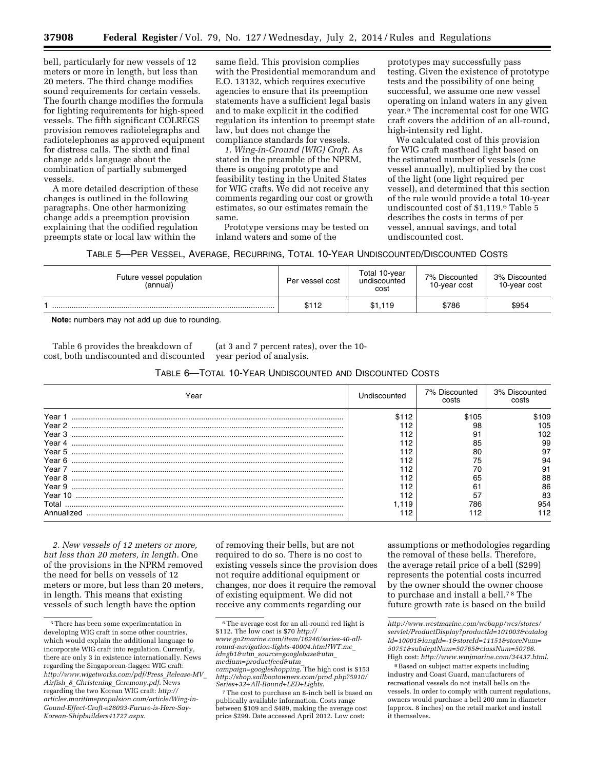bell, particularly for new vessels of 12 meters or more in length, but less than 20 meters. The third change modifies sound requirements for certain vessels. The fourth change modifies the formula for lighting requirements for high-speed vessels. The fifth significant COLREGS provision removes radiotelegraphs and radiotelephones as approved equipment for distress calls. The sixth and final change adds language about the combination of partially submerged vessels.

A more detailed description of these changes is outlined in the following paragraphs. One other harmonizing change adds a preemption provision explaining that the codified regulation preempts state or local law within the

same field. This provision complies with the Presidential memorandum and E.O. 13132, which requires executive agencies to ensure that its preemption statements have a sufficient legal basis and to make explicit in the codified regulation its intention to preempt state law, but does not change the compliance standards for vessels.

*1. Wing-in-Ground (WIG) Craft.* As stated in the preamble of the NPRM, there is ongoing prototype and feasibility testing in the United States for WIG crafts. We did not receive any comments regarding our cost or growth estimates, so our estimates remain the same.

Prototype versions may be tested on inland waters and some of the

prototypes may successfully pass testing. Given the existence of prototype tests and the possibility of one being successful, we assume one new vessel operating on inland waters in any given year.5 The incremental cost for one WIG craft covers the addition of an all-round, high-intensity red light.

We calculated cost of this provision for WIG craft masthead light based on the estimated number of vessels (one vessel annually), multiplied by the cost of the light (one light required per vessel), and determined that this section of the rule would provide a total 10-year undiscounted cost of \$1,119.6 Table 5 describes the costs in terms of per vessel, annual savings, and total undiscounted cost.

|  |  |  | TABLE 5-PER VESSEL, AVERAGE, RECURRING, TOTAL 10-YEAR UNDISCOUNTED/DISCOUNTED COSTS |  |
|--|--|--|-------------------------------------------------------------------------------------|--|
|--|--|--|-------------------------------------------------------------------------------------|--|

| Future vessel population<br>(annual) | Per vessel cost | Total 10-year<br>undiscounted<br>cost | 7% Discounted<br>10-year cost | 3% Discounted<br>10-year cost |
|--------------------------------------|-----------------|---------------------------------------|-------------------------------|-------------------------------|
|                                      | \$112           | \$1.119                               | \$786                         | \$954                         |

**Note:** numbers may not add up due to rounding.

Table 6 provides the breakdown of cost, both undiscounted and discounted

(at 3 and 7 percent rates), over the 10 year period of analysis.

#### TABLE 6—TOTAL 10-YEAR UNDISCOUNTED AND DISCOUNTED COSTS

| Year    | Undiscounted | 7% Discounted<br>costs | 3% Discounted<br>costs |
|---------|--------------|------------------------|------------------------|
| Year    | \$112        |                        | \$109                  |
| Year 2  |              | 98                     | 105                    |
| Year 3  | 112          | 91                     | 102                    |
| Year 4  | 112          | 85                     | 99                     |
| Year 5  | 112          | 80                     | 97                     |
| Year 6  | 112          | 75                     | 94                     |
| Year 7  | 112          |                        | 91                     |
| Year 8  | 112          | 65                     | 88                     |
| Year 9  | 112          | 61                     | 86                     |
| Year 10 | 112          | 57                     | 83                     |
| Total   | l.119        | 786                    | 954                    |
|         | 12           |                        | 112                    |

*2. New vessels of 12 meters or more, but less than 20 meters, in length.* One of the provisions in the NPRM removed the need for bells on vessels of 12 meters or more, but less than 20 meters, in length. This means that existing vessels of such length have the option

of removing their bells, but are not required to do so. There is no cost to existing vessels since the provision does not require additional equipment or changes, nor does it require the removal of existing equipment. We did not receive any comments regarding our

7The cost to purchase an 8-inch bell is based on publically available information. Costs range between \$109 and \$489, making the average cost price \$299. Date accessed April 2012. Low cost:

assumptions or methodologies regarding the removal of these bells. Therefore, the average retail price of a bell (\$299) represents the potential costs incurred by the owner should the owner choose to purchase and install a bell.7 8 The future growth rate is based on the build

<sup>5</sup>There has been some experimentation in developing WIG craft in some other countries, which would explain the additional language to incorporate WIG craft into regulation. Currently, there are only 3 in existence internationally. News regarding the Singaporean-flagged WIG craft: *[http://www.wigetworks.com/pdf/Press](http://www.wigetworks.com/pdf/Press_Release-MV_Airfish_8_Christening_Ceremony.pdf)*\_*Release-MV*\_ *Airfish*\_*8*\_*Christening*\_*[Ceremony.pdf](http://www.wigetworks.com/pdf/Press_Release-MV_Airfish_8_Christening_Ceremony.pdf)*. News regarding the two Korean WIG craft: *[http://](http://articles.maritimepropulsion.com/article/Wing-in-Gound-Effect-Craft-e28093-Furure-is-Here-Say-Korean-Shipbuilders41727.aspx) [articles.maritimepropulsion.com/article/Wing-in-](http://articles.maritimepropulsion.com/article/Wing-in-Gound-Effect-Craft-e28093-Furure-is-Here-Say-Korean-Shipbuilders41727.aspx)[Gound-Effect-Craft-e28093-Furure-is-Here-Say-](http://articles.maritimepropulsion.com/article/Wing-in-Gound-Effect-Craft-e28093-Furure-is-Here-Say-Korean-Shipbuilders41727.aspx)[Korean-Shipbuilders41727.aspx](http://articles.maritimepropulsion.com/article/Wing-in-Gound-Effect-Craft-e28093-Furure-is-Here-Say-Korean-Shipbuilders41727.aspx)*.

<sup>6</sup>The average cost for an all-round red light is \$112. The low cost is \$70 *[http://](http://www.go2marine.com/item/16246/series-40-all-round-navigation-lights-40004.html?WT.mc_id=gb1&utm_source=googlebase&utm_medium=productfeed&utm_campaign=googleshopping) [www.go2marine.com/item/16246/series-40-all](http://www.go2marine.com/item/16246/series-40-all-round-navigation-lights-40004.html?WT.mc_id=gb1&utm_source=googlebase&utm_medium=productfeed&utm_campaign=googleshopping)[round-navigation-lights-40004.html?WT.mc](http://www.go2marine.com/item/16246/series-40-all-round-navigation-lights-40004.html?WT.mc_id=gb1&utm_source=googlebase&utm_medium=productfeed&utm_campaign=googleshopping)*\_ *id=gb1&utm*\_*[source=googlebase&utm](http://www.go2marine.com/item/16246/series-40-all-round-navigation-lights-40004.html?WT.mc_id=gb1&utm_source=googlebase&utm_medium=productfeed&utm_campaign=googleshopping)*\_ *[medium=productfeed&utm](http://www.go2marine.com/item/16246/series-40-all-round-navigation-lights-40004.html?WT.mc_id=gb1&utm_source=googlebase&utm_medium=productfeed&utm_campaign=googleshopping)*\_ *[campaign=googleshopping](http://www.go2marine.com/item/16246/series-40-all-round-navigation-lights-40004.html?WT.mc_id=gb1&utm_source=googlebase&utm_medium=productfeed&utm_campaign=googleshopping)*. The high cost is \$153 *[http://shop.sailboatowners.com/prod.php?5910/](http://shop.sailboatowners.com/prod.php?5910/Series+32+All-Round+LED+Lights) [Series+32+All-Round+LED+Lights](http://shop.sailboatowners.com/prod.php?5910/Series+32+All-Round+LED+Lights)*.

*[http://www.westmarine.com/webapp/wcs/stores/](http://www.westmarine.com/webapp/wcs/stores/servlet/ProductDisplay?productId=101003&catalogId=10001&langId=-1&storeId=11151&storeNum=50751&subdeptNum=50765&classNum=50766) [servlet/ProductDisplay?productId=101003&catalog](http://www.westmarine.com/webapp/wcs/stores/servlet/ProductDisplay?productId=101003&catalogId=10001&langId=-1&storeId=11151&storeNum=50751&subdeptNum=50765&classNum=50766) [Id=10001&langId=-1&storeId=11151&storeNum=](http://www.westmarine.com/webapp/wcs/stores/servlet/ProductDisplay?productId=101003&catalogId=10001&langId=-1&storeId=11151&storeNum=50751&subdeptNum=50765&classNum=50766) [50751&subdeptNum=50765&classNum=50766](http://www.westmarine.com/webapp/wcs/stores/servlet/ProductDisplay?productId=101003&catalogId=10001&langId=-1&storeId=11151&storeNum=50751&subdeptNum=50765&classNum=50766)*. High cost: *<http://www.wmjmarine.com/34437.html>*.

<sup>8</sup>Based on subject matter experts including industry and Coast Guard, manufacturers of recreational vessels do not install bells on the vessels. In order to comply with current regulations, owners would purchase a bell 200 mm in diameter (approx. 8 inches) on the retail market and install it themselves.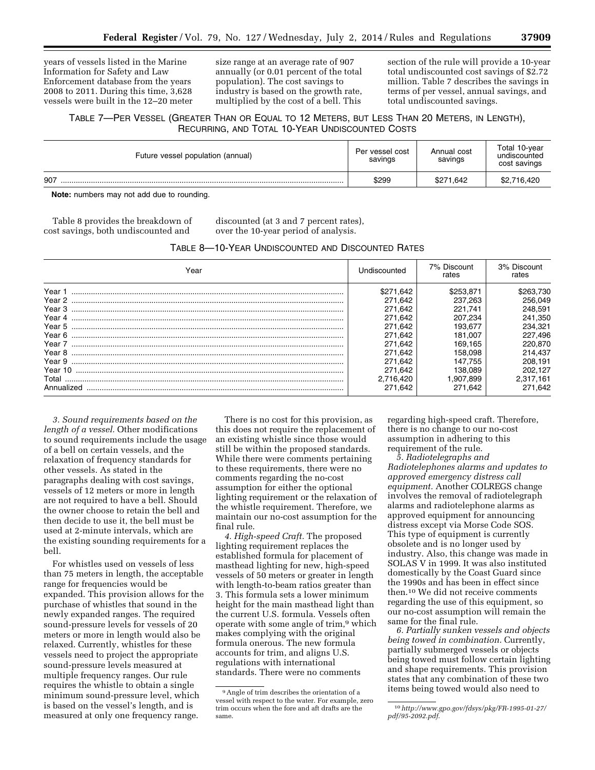years of vessels listed in the Marine Information for Safety and Law Enforcement database from the years 2008 to 2011. During this time, 3,628 vessels were built in the 12–20 meter size range at an average rate of 907 annually (or 0.01 percent of the total population). The cost savings to industry is based on the growth rate, multiplied by the cost of a bell. This

section of the rule will provide a 10-year total undiscounted cost savings of \$2.72 million. Table 7 describes the savings in terms of per vessel, annual savings, and total undiscounted savings.

#### TABLE 7—PER VESSEL (GREATER THAN OR EQUAL TO 12 METERS, BUT LESS THAN 20 METERS, IN LENGTH), RECURRING, AND TOTAL 10-YEAR UNDISCOUNTED COSTS

| Future vessel population (annual) | Per vessel cost<br>savings | Annual cost<br>savings | Total 10-year<br>undiscounted<br>cost savings |
|-----------------------------------|----------------------------|------------------------|-----------------------------------------------|
| 907                               | \$299                      | \$271.642              | \$2,716,420                                   |

**Note:** numbers may not add due to rounding.

Table 8 provides the breakdown of cost savings, both undiscounted and

discounted (at 3 and 7 percent rates), over the 10-year period of analysis.

#### TABLE 8—10-YEAR UNDISCOUNTED AND DISCOUNTED RATES

| Year       | Undiscounted | 7% Discount<br>rates | 3% Discount<br>rates |
|------------|--------------|----------------------|----------------------|
| Year 1     | \$271,642    | \$253.871            | \$263.730            |
| Year 2     | 271.642      | 237.263              | 256.049              |
| Year 3     | 271.642      | 221.741              | 248.591              |
| Year 4     | 271.642      | 207.234              | 241,350              |
| Year 5     | 271.642      | 193.677              | 234.321              |
| Year 6     | 271.642      | 181.007              | 227,496              |
| Year 7     | 271.642      | 169.165              | 220.870              |
|            | 271.642      | 158,098              | 214.437              |
| Year 9     | 271.642      | 147.755              | 208.191              |
| Year 10    | 271.642      | 138.089              | 202.127              |
| Total      | 2.716.420    | .907,899             | 2.317.161            |
| Annualized | 271.642      | 271.642              | 271.642              |

*3. Sound requirements based on the length of a vessel.* Other modifications to sound requirements include the usage of a bell on certain vessels, and the relaxation of frequency standards for other vessels. As stated in the paragraphs dealing with cost savings, vessels of 12 meters or more in length are not required to have a bell. Should the owner choose to retain the bell and then decide to use it, the bell must be used at 2-minute intervals, which are the existing sounding requirements for a bell.

For whistles used on vessels of less than 75 meters in length, the acceptable range for frequencies would be expanded. This provision allows for the purchase of whistles that sound in the newly expanded ranges. The required sound-pressure levels for vessels of 20 meters or more in length would also be relaxed. Currently, whistles for these vessels need to project the appropriate sound-pressure levels measured at multiple frequency ranges. Our rule requires the whistle to obtain a single minimum sound-pressure level, which is based on the vessel's length, and is measured at only one frequency range.

There is no cost for this provision, as this does not require the replacement of an existing whistle since those would still be within the proposed standards. While there were comments pertaining to these requirements, there were no comments regarding the no-cost assumption for either the optional lighting requirement or the relaxation of the whistle requirement. Therefore, we maintain our no-cost assumption for the final rule.

*4. High-speed Craft.* The proposed lighting requirement replaces the established formula for placement of masthead lighting for new, high-speed vessels of 50 meters or greater in length with length-to-beam ratios greater than 3. This formula sets a lower minimum height for the main masthead light than the current U.S. formula. Vessels often operate with some angle of trim,<sup>9</sup> which makes complying with the original formula onerous. The new formula accounts for trim, and aligns U.S. regulations with international standards. There were no comments

regarding high-speed craft. Therefore, there is no change to our no-cost assumption in adhering to this requirement of the rule.

*5. Radiotelegraphs and Radiotelephones alarms and updates to approved emergency distress call equipment.* Another COLREGS change involves the removal of radiotelegraph alarms and radiotelephone alarms as approved equipment for announcing distress except via Morse Code SOS. This type of equipment is currently obsolete and is no longer used by industry. Also, this change was made in SOLAS V in 1999. It was also instituted domestically by the Coast Guard since the 1990s and has been in effect since then.10 We did not receive comments regarding the use of this equipment, so our no-cost assumption will remain the same for the final rule.

*6. Partially sunken vessels and objects being towed in combination.* Currently, partially submerged vessels or objects being towed must follow certain lighting and shape requirements. This provision states that any combination of these two items being towed would also need to

<sup>9</sup>Angle of trim describes the orientation of a vessel with respect to the water. For example, zero trim occurs when the fore and aft drafts are the same.

<sup>10</sup>*[http://www.gpo.gov/fdsys/pkg/FR-1995-01-27/](http://www.gpo.gov/fdsys/pkg/FR-1995-01-27/pdf/95-2092.pdf) [pdf/95-2092.pdf](http://www.gpo.gov/fdsys/pkg/FR-1995-01-27/pdf/95-2092.pdf)*.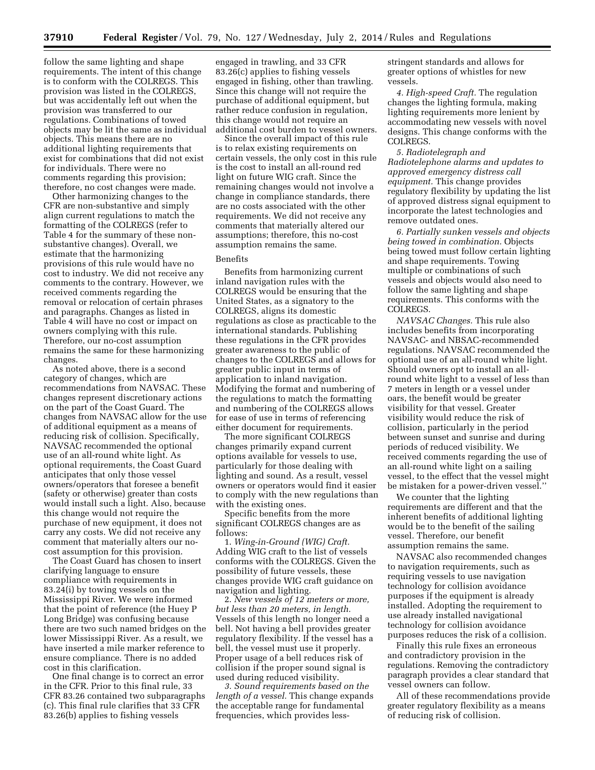follow the same lighting and shape requirements. The intent of this change is to conform with the COLREGS. This provision was listed in the COLREGS, but was accidentally left out when the provision was transferred to our regulations. Combinations of towed objects may be lit the same as individual objects. This means there are no additional lighting requirements that exist for combinations that did not exist for individuals. There were no comments regarding this provision; therefore, no cost changes were made.

Other harmonizing changes to the CFR are non-substantive and simply align current regulations to match the formatting of the COLREGS (refer to Table 4 for the summary of these nonsubstantive changes). Overall, we estimate that the harmonizing provisions of this rule would have no cost to industry. We did not receive any comments to the contrary. However, we received comments regarding the removal or relocation of certain phrases and paragraphs. Changes as listed in Table 4 will have no cost or impact on owners complying with this rule. Therefore, our no-cost assumption remains the same for these harmonizing changes.

As noted above, there is a second category of changes, which are recommendations from NAVSAC. These changes represent discretionary actions on the part of the Coast Guard. The changes from NAVSAC allow for the use of additional equipment as a means of reducing risk of collision. Specifically, NAVSAC recommended the optional use of an all-round white light. As optional requirements, the Coast Guard anticipates that only those vessel owners/operators that foresee a benefit (safety or otherwise) greater than costs would install such a light. Also, because this change would not require the purchase of new equipment, it does not carry any costs. We did not receive any comment that materially alters our nocost assumption for this provision.

The Coast Guard has chosen to insert clarifying language to ensure compliance with requirements in 83.24(i) by towing vessels on the Mississippi River. We were informed that the point of reference (the Huey P Long Bridge) was confusing because there are two such named bridges on the lower Mississippi River. As a result, we have inserted a mile marker reference to ensure compliance. There is no added cost in this clarification.

One final change is to correct an error in the CFR. Prior to this final rule, 33 CFR 83.26 contained two subparagraphs (c). This final rule clarifies that 33 CFR 83.26(b) applies to fishing vessels

engaged in trawling, and 33 CFR 83.26(c) applies to fishing vessels engaged in fishing, other than trawling. Since this change will not require the purchase of additional equipment, but rather reduce confusion in regulation, this change would not require an additional cost burden to vessel owners.

Since the overall impact of this rule is to relax existing requirements on certain vessels, the only cost in this rule is the cost to install an all-round red light on future WIG craft. Since the remaining changes would not involve a change in compliance standards, there are no costs associated with the other requirements. We did not receive any comments that materially altered our assumptions; therefore, this no-cost assumption remains the same.

#### Benefits

Benefits from harmonizing current inland navigation rules with the COLREGS would be ensuring that the United States, as a signatory to the COLREGS, aligns its domestic regulations as close as practicable to the international standards. Publishing these regulations in the CFR provides greater awareness to the public of changes to the COLREGS and allows for greater public input in terms of application to inland navigation. Modifying the format and numbering of the regulations to match the formatting and numbering of the COLREGS allows for ease of use in terms of referencing either document for requirements.

The more significant COLREGS changes primarily expand current options available for vessels to use, particularly for those dealing with lighting and sound. As a result, vessel owners or operators would find it easier to comply with the new regulations than with the existing ones.

Specific benefits from the more significant COLREGS changes are as follows:

1. *Wing-in-Ground (WIG) Craft.*  Adding WIG craft to the list of vessels conforms with the COLREGS. Given the possibility of future vessels, these changes provide WIG craft guidance on navigation and lighting.

2. *New vessels of 12 meters or more, but less than 20 meters, in length.*  Vessels of this length no longer need a bell. Not having a bell provides greater regulatory flexibility. If the vessel has a bell, the vessel must use it properly. Proper usage of a bell reduces risk of collision if the proper sound signal is used during reduced visibility.

*3. Sound requirements based on the length of a vessel.* This change expands the acceptable range for fundamental frequencies, which provides lessstringent standards and allows for greater options of whistles for new vessels.

*4. High-speed Craft.* The regulation changes the lighting formula, making lighting requirements more lenient by accommodating new vessels with novel designs. This change conforms with the COLREGS.

*5. Radiotelegraph and Radiotelephone alarms and updates to approved emergency distress call equipment.* This change provides regulatory flexibility by updating the list of approved distress signal equipment to incorporate the latest technologies and remove outdated ones.

*6. Partially sunken vessels and objects being towed in combination.* Objects being towed must follow certain lighting and shape requirements. Towing multiple or combinations of such vessels and objects would also need to follow the same lighting and shape requirements. This conforms with the COLREGS.

*NAVSAC Changes.* This rule also includes benefits from incorporating NAVSAC- and NBSAC-recommended regulations. NAVSAC recommended the optional use of an all-round white light. Should owners opt to install an allround white light to a vessel of less than 7 meters in length or a vessel under oars, the benefit would be greater visibility for that vessel. Greater visibility would reduce the risk of collision, particularly in the period between sunset and sunrise and during periods of reduced visibility. We received comments regarding the use of an all-round white light on a sailing vessel, to the effect that the vessel might be mistaken for a power-driven vessel.''

We counter that the lighting requirements are different and that the inherent benefits of additional lighting would be to the benefit of the sailing vessel. Therefore, our benefit assumption remains the same.

NAVSAC also recommended changes to navigation requirements, such as requiring vessels to use navigation technology for collision avoidance purposes if the equipment is already installed. Adopting the requirement to use already installed navigational technology for collision avoidance purposes reduces the risk of a collision.

Finally this rule fixes an erroneous and contradictory provision in the regulations. Removing the contradictory paragraph provides a clear standard that vessel owners can follow.

All of these recommendations provide greater regulatory flexibility as a means of reducing risk of collision.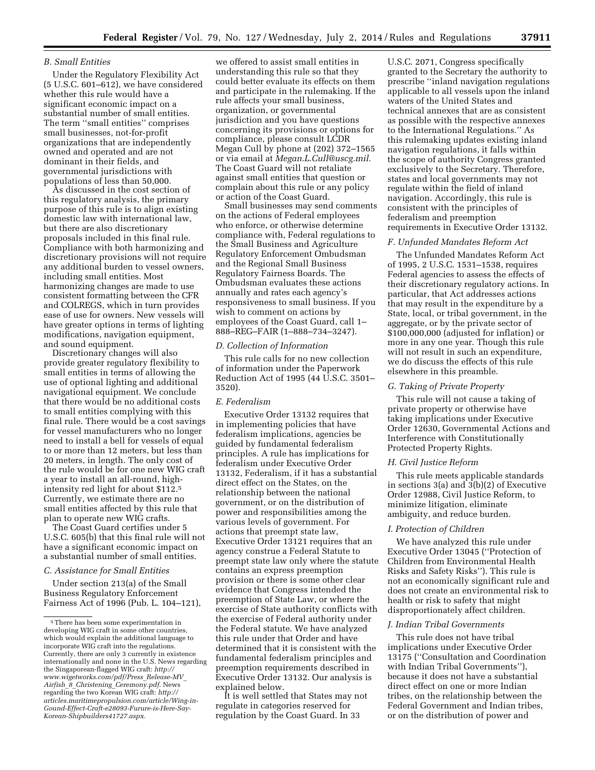#### *B. Small Entities*

Under the Regulatory Flexibility Act (5 U.S.C. 601–612), we have considered whether this rule would have a significant economic impact on a substantial number of small entities. The term ''small entities'' comprises small businesses, not-for-profit organizations that are independently owned and operated and are not dominant in their fields, and governmental jurisdictions with populations of less than 50,000.

As discussed in the cost section of this regulatory analysis, the primary purpose of this rule is to align existing domestic law with international law, but there are also discretionary proposals included in this final rule. Compliance with both harmonizing and discretionary provisions will not require any additional burden to vessel owners, including small entities. Most harmonizing changes are made to use consistent formatting between the CFR and COLREGS, which in turn provides ease of use for owners. New vessels will have greater options in terms of lighting modifications, navigation equipment, and sound equipment.

Discretionary changes will also provide greater regulatory flexibility to small entities in terms of allowing the use of optional lighting and additional navigational equipment. We conclude that there would be no additional costs to small entities complying with this final rule. There would be a cost savings for vessel manufacturers who no longer need to install a bell for vessels of equal to or more than 12 meters, but less than 20 meters, in length. The only cost of the rule would be for one new WIG craft a year to install an all-round, highintensity red light for about \$112.5 Currently, we estimate there are no small entities affected by this rule that plan to operate new WIG crafts.

The Coast Guard certifies under 5 U.S.C. 605(b) that this final rule will not have a significant economic impact on a substantial number of small entities.

#### *C. Assistance for Small Entities*

Under section 213(a) of the Small Business Regulatory Enforcement Fairness Act of 1996 (Pub. L. 104–121),

we offered to assist small entities in understanding this rule so that they could better evaluate its effects on them and participate in the rulemaking. If the rule affects your small business, organization, or governmental jurisdiction and you have questions concerning its provisions or options for compliance, please consult LCDR Megan Cull by phone at (202) 372–1565 or via email at *[Megan.L.Cull@uscg.mil.](mailto:Megan.L.Cull@uscg.mil)*  The Coast Guard will not retaliate against small entities that question or complain about this rule or any policy or action of the Coast Guard.

Small businesses may send comments on the actions of Federal employees who enforce, or otherwise determine compliance with, Federal regulations to the Small Business and Agriculture Regulatory Enforcement Ombudsman and the Regional Small Business Regulatory Fairness Boards. The Ombudsman evaluates these actions annually and rates each agency's responsiveness to small business. If you wish to comment on actions by employees of the Coast Guard, call 1– 888–REG–FAIR (1–888–734–3247).

#### *D. Collection of Information*

This rule calls for no new collection of information under the Paperwork Reduction Act of 1995 (44 U.S.C. 3501– 3520).

#### *E. Federalism*

Executive Order 13132 requires that in implementing policies that have federalism implications, agencies be guided by fundamental federalism principles. A rule has implications for federalism under Executive Order 13132, Federalism, if it has a substantial direct effect on the States, on the relationship between the national government, or on the distribution of power and responsibilities among the various levels of government. For actions that preempt state law, Executive Order 13121 requires that an agency construe a Federal Statute to preempt state law only where the statute contains an express preemption provision or there is some other clear evidence that Congress intended the preemption of State Law, or where the exercise of State authority conflicts with the exercise of Federal authority under the Federal statute. We have analyzed this rule under that Order and have determined that it is consistent with the fundamental federalism principles and preemption requirements described in Executive Order 13132. Our analysis is explained below.

It is well settled that States may not regulate in categories reserved for regulation by the Coast Guard. In 33

U.S.C. 2071, Congress specifically granted to the Secretary the authority to prescribe ''inland navigation regulations applicable to all vessels upon the inland waters of the United States and technical annexes that are as consistent as possible with the respective annexes to the International Regulations.'' As this rulemaking updates existing inland navigation regulations, it falls within the scope of authority Congress granted exclusively to the Secretary. Therefore, states and local governments may not regulate within the field of inland navigation. Accordingly, this rule is consistent with the principles of federalism and preemption requirements in Executive Order 13132.

#### *F. Unfunded Mandates Reform Act*

The Unfunded Mandates Reform Act of 1995, 2 U.S.C. 1531–1538, requires Federal agencies to assess the effects of their discretionary regulatory actions. In particular, that Act addresses actions that may result in the expenditure by a State, local, or tribal government, in the aggregate, or by the private sector of \$100,000,000 (adjusted for inflation) or more in any one year. Though this rule will not result in such an expenditure, we do discuss the effects of this rule elsewhere in this preamble.

#### *G. Taking of Private Property*

This rule will not cause a taking of private property or otherwise have taking implications under Executive Order 12630, Governmental Actions and Interference with Constitutionally Protected Property Rights.

#### *H. Civil Justice Reform*

This rule meets applicable standards in sections 3(a) and 3(b)(2) of Executive Order 12988, Civil Justice Reform, to minimize litigation, eliminate ambiguity, and reduce burden.

#### *I. Protection of Children*

We have analyzed this rule under Executive Order 13045 (''Protection of Children from Environmental Health Risks and Safety Risks''). This rule is not an economically significant rule and does not create an environmental risk to health or risk to safety that might disproportionately affect children.

#### *J. Indian Tribal Governments*

This rule does not have tribal implications under Executive Order 13175 (''Consultation and Coordination with Indian Tribal Governments''), because it does not have a substantial direct effect on one or more Indian tribes, on the relationship between the Federal Government and Indian tribes, or on the distribution of power and

<sup>5</sup>There has been some experimentation in developing WIG craft in some other countries, which would explain the additional language to incorporate WIG craft into the regulations. Currently, there are only 3 currently in existence internationally and none in the U.S. News regarding the Singaporean-flagged WIG craft: *[http://](http://www.wigetworks.com/pdf/Press_Release-MV_Airfish_8_Christening_Ceremony.pdf) [www.wigetworks.com/pdf/Press](http://www.wigetworks.com/pdf/Press_Release-MV_Airfish_8_Christening_Ceremony.pdf)*\_*Release-MV*\_ *Airfish*\_*8*\_*Christening*\_*[Ceremony.pdf.](http://www.wigetworks.com/pdf/Press_Release-MV_Airfish_8_Christening_Ceremony.pdf)* News regarding the two Korean WIG craft: *[http://](http://articles.maritimepropulsion.com/article/Wing-in-Gound-Effect-Craft-e28093-Furure-is-Here-Say-Korean-Shipbuilders41727.aspx) [articles.maritimepropulsion.com/article/Wing-in-](http://articles.maritimepropulsion.com/article/Wing-in-Gound-Effect-Craft-e28093-Furure-is-Here-Say-Korean-Shipbuilders41727.aspx)[Gound-Effect-Craft-e28093-Furure-is-Here-Say-](http://articles.maritimepropulsion.com/article/Wing-in-Gound-Effect-Craft-e28093-Furure-is-Here-Say-Korean-Shipbuilders41727.aspx)[Korean-Shipbuilders41727.aspx.](http://articles.maritimepropulsion.com/article/Wing-in-Gound-Effect-Craft-e28093-Furure-is-Here-Say-Korean-Shipbuilders41727.aspx)*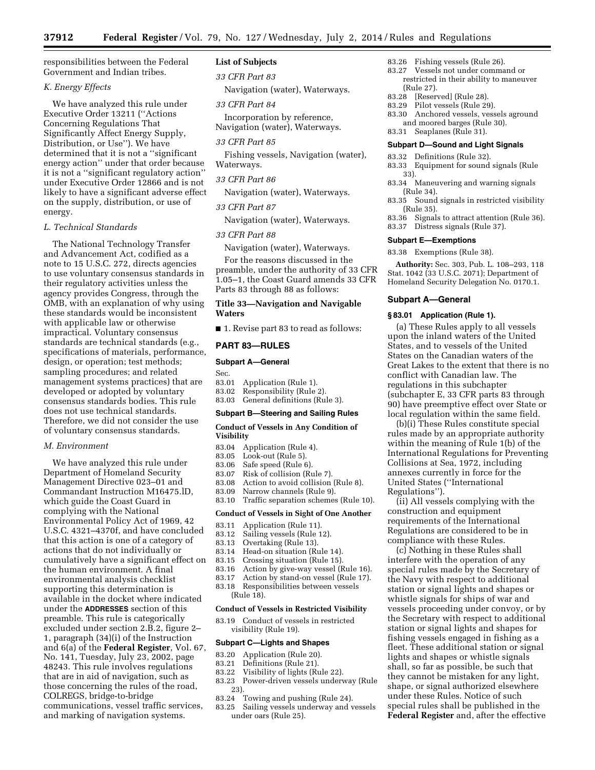responsibilities between the Federal Government and Indian tribes.

#### *K. Energy Effects*

We have analyzed this rule under Executive Order 13211 (''Actions Concerning Regulations That Significantly Affect Energy Supply, Distribution, or Use''). We have determined that it is not a ''significant energy action'' under that order because it is not a ''significant regulatory action'' under Executive Order 12866 and is not likely to have a significant adverse effect on the supply, distribution, or use of energy.

#### *L. Technical Standards*

The National Technology Transfer and Advancement Act, codified as a note to 15 U.S.C. 272, directs agencies to use voluntary consensus standards in their regulatory activities unless the agency provides Congress, through the OMB, with an explanation of why using these standards would be inconsistent with applicable law or otherwise impractical. Voluntary consensus standards are technical standards (e.g., specifications of materials, performance, design, or operation; test methods; sampling procedures; and related management systems practices) that are developed or adopted by voluntary consensus standards bodies. This rule does not use technical standards. Therefore, we did not consider the use of voluntary consensus standards.

#### *M. Environment*

We have analyzed this rule under Department of Homeland Security Management Directive 023–01 and Commandant Instruction M16475.lD, which guide the Coast Guard in complying with the National Environmental Policy Act of 1969, 42 U.S.C. 4321–4370f, and have concluded that this action is one of a category of actions that do not individually or cumulatively have a significant effect on the human environment. A final environmental analysis checklist supporting this determination is available in the docket where indicated under the **ADDRESSES** section of this preamble. This rule is categorically excluded under section 2.B.2, figure 2– 1, paragraph (34)(i) of the Instruction and 6(a) of the **Federal Register**, Vol. 67, No. 141, Tuesday, July 23, 2002, page 48243. This rule involves regulations that are in aid of navigation, such as those concerning the rules of the road, COLREGS, bridge-to-bridge communications, vessel traffic services, and marking of navigation systems.

## **List of Subjects**

*33 CFR Part 83* 

Navigation (water), Waterways.

#### *33 CFR Part 84*

Incorporation by reference, Navigation (water), Waterways.

#### *33 CFR Part 85*

Fishing vessels, Navigation (water), Waterways.

#### *33 CFR Part 86*

Navigation (water), Waterways.

#### *33 CFR Part 87*

Navigation (water), Waterways.

#### *33 CFR Part 88*

Navigation (water), Waterways.

For the reasons discussed in the preamble, under the authority of 33 CFR 1.05–1, the Coast Guard amends 33 CFR Parts 83 through 88 as follows:

#### **Title 33—Navigation and Navigable Waters**

■ 1. Revise part 83 to read as follows:

#### **PART 83—RULES**

#### **Subpart A—General**

Sec.

# 83.01 Application (Rule 1).<br>83.02 Responsibility (Rule 2

Responsibility (Rule 2). 83.03 General definitions (Rule 3).

#### **Subpart B—Steering and Sailing Rules**

#### **Conduct of Vessels in Any Condition of Visibility**

- 83.04 Application (Rule 4).<br>83.05 Look-out (Rule 5).
- 83.05 Look-out (Rule 5).<br>83.06 Safe speed (Rule 6
- 83.06 Safe speed (Rule 6).<br>83.07 Risk of collision (Ru
- 83.07 Risk of collision (Rule 7).<br>83.08 Action to avoid collision
- 83.08 Action to avoid collision (Rule 8).<br>83.09 Narrow channels (Rule 9)
- 83.09 Narrow channels (Rule 9).<br>83.10 Traffic separation schemes
- Traffic separation schemes (Rule 10).

#### **Conduct of Vessels in Sight of One Another**

- 83.11 Application (Rule 11).<br>83.12 Sailing vessels (Rule 1
- Sailing vessels (Rule 12).
- 83.13 Overtaking (Rule 13).
- 83.14 Head-on situation (Rule 14).
- 83.15 Crossing situation (Rule 15).
- 83.16 Action by give-way vessel (Rule 16).<br>83.17 Action by stand-on vessel (Rule 17).
- Action by stand-on vessel (Rule 17).
- 83.18 Responsibilities between vessels (Rule 18).

#### **Conduct of Vessels in Restricted Visibility**

83.19 Conduct of vessels in restricted visibility (Rule 19).

#### **Subpart C—Lights and Shapes**

- 83.20 Application (Rule 20).<br>83.21 Definitions (Rule 21)
- 83.21 Definitions (Rule 21).<br>83.22 Visibility of lights (Ru
	- Visibility of lights (Rule 22).
- 83.23 Power-driven vessels underway (Rule 23).
- 83.24 Towing and pushing (Rule 24).
- 83.25 Sailing vessels underway and vessels under oars (Rule 25).
- 83.26 Fishing vessels (Rule 26).
- 83.27 Vessels not under command or restricted in their ability to maneuver
- (Rule 27).<br>83.28 [Reserv 83.28 [Reserved] (Rule 28).<br>83.29 Pilot vessels (Rule 29
- Pilot vessels (Rule 29).
- 83.30 Anchored vessels, vessels aground and moored barges (Rule 30).
- 83.31 Seaplanes (Rule 31).

#### **Subpart D—Sound and Light Signals**

83.32 Definitions (Rule 32).

- 83.33 Equipment for sound signals (Rule 33).
- 83.34 Maneuvering and warning signals (Rule 34).
- 83.35 Sound signals in restricted visibility (Rule 35).

83.36 Signals to attract attention (Rule 36). 83.37 Distress signals (Rule 37).

#### **Subpart E—Exemptions**

83.38 Exemptions (Rule 38).

**Authority:** Sec. 303, Pub. L. 108–293, 118 Stat. 1042 (33 U.S.C. 2071); Department of Homeland Security Delegation No. 0170.1.

#### **Subpart A—General**

#### **§ 83.01 Application (Rule 1).**

(a) These Rules apply to all vessels upon the inland waters of the United States, and to vessels of the United States on the Canadian waters of the Great Lakes to the extent that there is no conflict with Canadian law. The regulations in this subchapter (subchapter E, 33 CFR parts 83 through 90) have preemptive effect over State or local regulation within the same field.

(b)(i) These Rules constitute special rules made by an appropriate authority within the meaning of Rule 1(b) of the International Regulations for Preventing Collisions at Sea, 1972, including annexes currently in force for the United States (''International Regulations'').

(ii) All vessels complying with the construction and equipment requirements of the International Regulations are considered to be in compliance with these Rules.

(c) Nothing in these Rules shall interfere with the operation of any special rules made by the Secretary of the Navy with respect to additional station or signal lights and shapes or whistle signals for ships of war and vessels proceeding under convoy, or by the Secretary with respect to additional station or signal lights and shapes for fishing vessels engaged in fishing as a fleet. These additional station or signal lights and shapes or whistle signals shall, so far as possible, be such that they cannot be mistaken for any light, shape, or signal authorized elsewhere under these Rules. Notice of such special rules shall be published in the **Federal Register** and, after the effective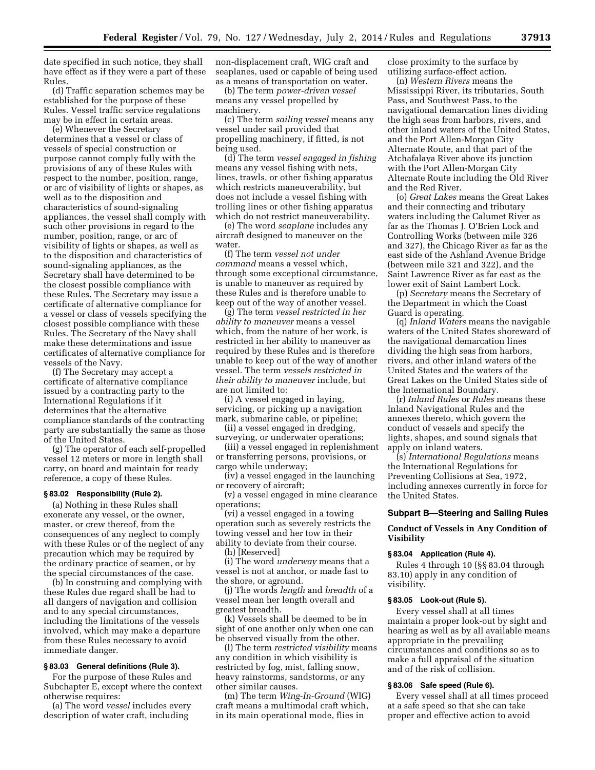date specified in such notice, they shall have effect as if they were a part of these Rules.

(d) Traffic separation schemes may be established for the purpose of these Rules. Vessel traffic service regulations may be in effect in certain areas.

(e) Whenever the Secretary determines that a vessel or class of vessels of special construction or purpose cannot comply fully with the provisions of any of these Rules with respect to the number, position, range, or arc of visibility of lights or shapes, as well as to the disposition and characteristics of sound-signaling appliances, the vessel shall comply with such other provisions in regard to the number, position, range, or arc of visibility of lights or shapes, as well as to the disposition and characteristics of sound-signaling appliances, as the Secretary shall have determined to be the closest possible compliance with these Rules. The Secretary may issue a certificate of alternative compliance for a vessel or class of vessels specifying the closest possible compliance with these Rules. The Secretary of the Navy shall make these determinations and issue certificates of alternative compliance for vessels of the Navy.

(f) The Secretary may accept a certificate of alternative compliance issued by a contracting party to the International Regulations if it determines that the alternative compliance standards of the contracting party are substantially the same as those of the United States.

(g) The operator of each self-propelled vessel 12 meters or more in length shall carry, on board and maintain for ready reference, a copy of these Rules.

#### **§ 83.02 Responsibility (Rule 2).**

(a) Nothing in these Rules shall exonerate any vessel, or the owner, master, or crew thereof, from the consequences of any neglect to comply with these Rules or of the neglect of any precaution which may be required by the ordinary practice of seamen, or by the special circumstances of the case.

(b) In construing and complying with these Rules due regard shall be had to all dangers of navigation and collision and to any special circumstances, including the limitations of the vessels involved, which may make a departure from these Rules necessary to avoid immediate danger.

#### **§ 83.03 General definitions (Rule 3).**

For the purpose of these Rules and Subchapter E, except where the context otherwise requires:

(a) The word *vessel* includes every description of water craft, including

non-displacement craft, WIG craft and seaplanes, used or capable of being used as a means of transportation on water.

(b) The term *power-driven vessel*  means any vessel propelled by machinery.

(c) The term *sailing vessel* means any vessel under sail provided that propelling machinery, if fitted, is not being used.

(d) The term *vessel engaged in fishing*  means any vessel fishing with nets, lines, trawls, or other fishing apparatus which restricts maneuverability, but does not include a vessel fishing with trolling lines or other fishing apparatus which do not restrict maneuverability.

(e) The word *seaplane* includes any aircraft designed to maneuver on the water.

(f) The term *vessel not under command* means a vessel which, through some exceptional circumstance, is unable to maneuver as required by these Rules and is therefore unable to keep out of the way of another vessel.

(g) The term *vessel restricted in her ability to maneuver* means a vessel which, from the nature of her work, is restricted in her ability to maneuver as required by these Rules and is therefore unable to keep out of the way of another vessel. The term *vessels restricted in their ability to maneuver* include, but are not limited to:

(i) A vessel engaged in laying, servicing, or picking up a navigation mark, submarine cable, or pipeline;

(ii) a vessel engaged in dredging, surveying, or underwater operations;

(iii) a vessel engaged in replenishment or transferring persons, provisions, or cargo while underway;

(iv) a vessel engaged in the launching or recovery of aircraft;

(v) a vessel engaged in mine clearance operations;

(vi) a vessel engaged in a towing operation such as severely restricts the towing vessel and her tow in their ability to deviate from their course. (h) [Reserved]

(i) The word *underway* means that a vessel is not at anchor, or made fast to the shore, or aground.

(j) The words *length* and *breadth* of a vessel mean her length overall and greatest breadth.

(k) Vessels shall be deemed to be in sight of one another only when one can be observed visually from the other.

(l) The term *restricted visibility* means any condition in which visibility is restricted by fog, mist, falling snow, heavy rainstorms, sandstorms, or any other similar causes.

(m) The term *Wing-In-Ground* (WIG) craft means a multimodal craft which, in its main operational mode, flies in

close proximity to the surface by utilizing surface-effect action.

(n) *Western Rivers* means the Mississippi River, its tributaries, South Pass, and Southwest Pass, to the navigational demarcation lines dividing the high seas from harbors, rivers, and other inland waters of the United States, and the Port Allen-Morgan City Alternate Route, and that part of the Atchafalaya River above its junction with the Port Allen-Morgan City Alternate Route including the Old River and the Red River.

(o) *Great Lakes* means the Great Lakes and their connecting and tributary waters including the Calumet River as far as the Thomas J. O'Brien Lock and Controlling Works (between mile 326 and 327), the Chicago River as far as the east side of the Ashland Avenue Bridge (between mile 321 and 322), and the Saint Lawrence River as far east as the lower exit of Saint Lambert Lock.

(p) *Secretary* means the Secretary of the Department in which the Coast Guard is operating.

(q) *Inland Waters* means the navigable waters of the United States shoreward of the navigational demarcation lines dividing the high seas from harbors, rivers, and other inland waters of the United States and the waters of the Great Lakes on the United States side of the International Boundary.

(r) *Inland Rules* or *Rules* means these Inland Navigational Rules and the annexes thereto, which govern the conduct of vessels and specify the lights, shapes, and sound signals that apply on inland waters.

(s) *International Regulations* means the International Regulations for Preventing Collisions at Sea, 1972, including annexes currently in force for the United States.

#### **Subpart B—Steering and Sailing Rules**

**Conduct of Vessels in Any Condition of Visibility** 

#### **§ 83.04 Application (Rule 4).**

Rules 4 through 10 (§§ 83.04 through 83.10) apply in any condition of visibility.

#### **§ 83.05 Look-out (Rule 5).**

Every vessel shall at all times maintain a proper look-out by sight and hearing as well as by all available means appropriate in the prevailing circumstances and conditions so as to make a full appraisal of the situation and of the risk of collision.

#### **§ 83.06 Safe speed (Rule 6).**

Every vessel shall at all times proceed at a safe speed so that she can take proper and effective action to avoid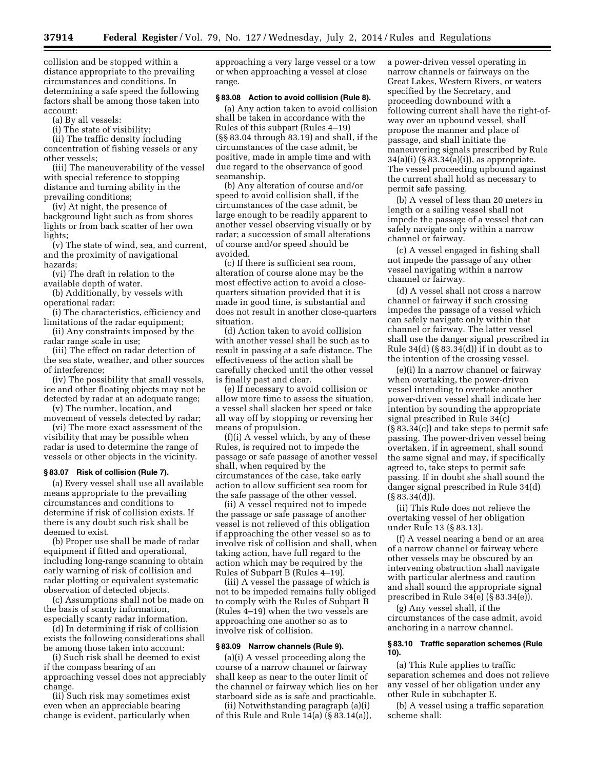collision and be stopped within a distance appropriate to the prevailing circumstances and conditions. In determining a safe speed the following factors shall be among those taken into account:

(a) By all vessels:

(i) The state of visibility;

(ii) The traffic density including concentration of fishing vessels or any other vessels;

(iii) The maneuverability of the vessel with special reference to stopping distance and turning ability in the prevailing conditions;

(iv) At night, the presence of background light such as from shores lights or from back scatter of her own lights;

(v) The state of wind, sea, and current, and the proximity of navigational hazards;

(vi) The draft in relation to the available depth of water.

(b) Additionally, by vessels with operational radar:

(i) The characteristics, efficiency and limitations of the radar equipment;

(ii) Any constraints imposed by the radar range scale in use;

(iii) The effect on radar detection of the sea state, weather, and other sources of interference;

(iv) The possibility that small vessels, ice and other floating objects may not be detected by radar at an adequate range;

(v) The number, location, and movement of vessels detected by radar;

(vi) The more exact assessment of the visibility that may be possible when radar is used to determine the range of vessels or other objects in the vicinity.

#### **§ 83.07 Risk of collision (Rule 7).**

(a) Every vessel shall use all available means appropriate to the prevailing circumstances and conditions to determine if risk of collision exists. If there is any doubt such risk shall be deemed to exist.

(b) Proper use shall be made of radar equipment if fitted and operational, including long-range scanning to obtain early warning of risk of collision and radar plotting or equivalent systematic observation of detected objects.

(c) Assumptions shall not be made on the basis of scanty information, especially scanty radar information.

(d) In determining if risk of collision exists the following considerations shall be among those taken into account:

(i) Such risk shall be deemed to exist if the compass bearing of an approaching vessel does not appreciably change.

(ii) Such risk may sometimes exist even when an appreciable bearing change is evident, particularly when

approaching a very large vessel or a tow or when approaching a vessel at close range.

#### **§ 83.08 Action to avoid collision (Rule 8).**

(a) Any action taken to avoid collision shall be taken in accordance with the Rules of this subpart (Rules 4–19) (§§ 83.04 through 83.19) and shall, if the circumstances of the case admit, be positive, made in ample time and with due regard to the observance of good seamanship.

(b) Any alteration of course and/or speed to avoid collision shall, if the circumstances of the case admit, be large enough to be readily apparent to another vessel observing visually or by radar; a succession of small alterations of course and/or speed should be avoided.

(c) If there is sufficient sea room, alteration of course alone may be the most effective action to avoid a closequarters situation provided that it is made in good time, is substantial and does not result in another close-quarters situation.

(d) Action taken to avoid collision with another vessel shall be such as to result in passing at a safe distance. The effectiveness of the action shall be carefully checked until the other vessel is finally past and clear.

(e) If necessary to avoid collision or allow more time to assess the situation, a vessel shall slacken her speed or take all way off by stopping or reversing her means of propulsion.

(f)(i) A vessel which, by any of these Rules, is required not to impede the passage or safe passage of another vessel shall, when required by the circumstances of the case, take early action to allow sufficient sea room for the safe passage of the other vessel.

(ii) A vessel required not to impede the passage or safe passage of another vessel is not relieved of this obligation if approaching the other vessel so as to involve risk of collision and shall, when taking action, have full regard to the action which may be required by the Rules of Subpart B (Rules 4–19).

(iii) A vessel the passage of which is not to be impeded remains fully obliged to comply with the Rules of Subpart B (Rules 4–19) when the two vessels are approaching one another so as to involve risk of collision.

#### **§ 83.09 Narrow channels (Rule 9).**

(a)(i) A vessel proceeding along the course of a narrow channel or fairway shall keep as near to the outer limit of the channel or fairway which lies on her starboard side as is safe and practicable.

(ii) Notwithstanding paragraph (a)(i) of this Rule and Rule 14(a) (§ 83.14(a)), a power-driven vessel operating in narrow channels or fairways on the Great Lakes, Western Rivers, or waters specified by the Secretary, and proceeding downbound with a following current shall have the right-ofway over an upbound vessel, shall propose the manner and place of passage, and shall initiate the maneuvering signals prescribed by Rule  $34(a)(i)$  (§  $83.34(a)(i)$ ), as appropriate. The vessel proceeding upbound against the current shall hold as necessary to permit safe passing.

(b) A vessel of less than 20 meters in length or a sailing vessel shall not impede the passage of a vessel that can safely navigate only within a narrow channel or fairway.

(c) A vessel engaged in fishing shall not impede the passage of any other vessel navigating within a narrow channel or fairway.

(d) A vessel shall not cross a narrow channel or fairway if such crossing impedes the passage of a vessel which can safely navigate only within that channel or fairway. The latter vessel shall use the danger signal prescribed in Rule  $34(d)$  (§ 83.34(d)) if in doubt as to the intention of the crossing vessel.

(e)(i) In a narrow channel or fairway when overtaking, the power-driven vessel intending to overtake another power-driven vessel shall indicate her intention by sounding the appropriate signal prescribed in Rule 34(c) (§ 83.34(c)) and take steps to permit safe passing. The power-driven vessel being overtaken, if in agreement, shall sound the same signal and may, if specifically agreed to, take steps to permit safe passing. If in doubt she shall sound the danger signal prescribed in Rule 34(d)  $(S 83.34(d)).$ 

(ii) This Rule does not relieve the overtaking vessel of her obligation under Rule 13 (§ 83.13).

(f) A vessel nearing a bend or an area of a narrow channel or fairway where other vessels may be obscured by an intervening obstruction shall navigate with particular alertness and caution and shall sound the appropriate signal prescribed in Rule 34(e) (§ 83.34(e)).

(g) Any vessel shall, if the circumstances of the case admit, avoid anchoring in a narrow channel.

#### **§ 83.10 Traffic separation schemes (Rule 10).**

(a) This Rule applies to traffic separation schemes and does not relieve any vessel of her obligation under any other Rule in subchapter E.

(b) A vessel using a traffic separation scheme shall: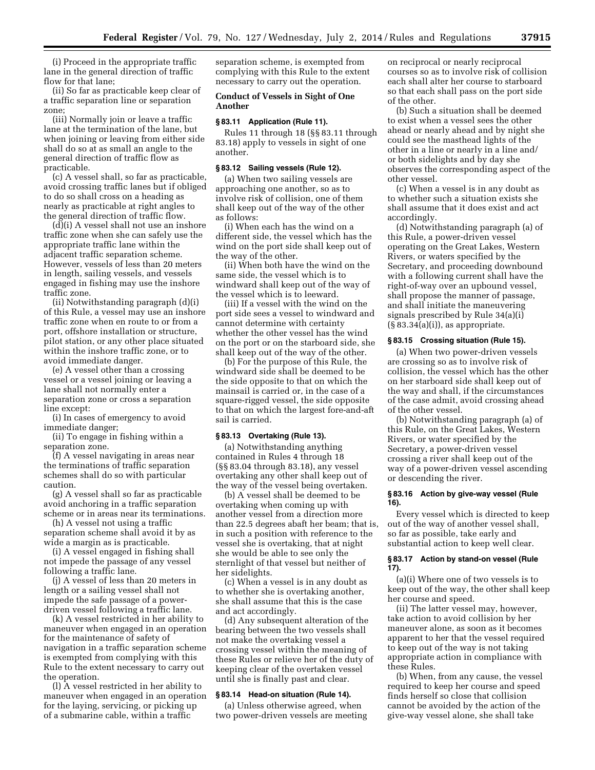(i) Proceed in the appropriate traffic lane in the general direction of traffic flow for that lane;

(ii) So far as practicable keep clear of a traffic separation line or separation zone;

(iii) Normally join or leave a traffic lane at the termination of the lane, but when joining or leaving from either side shall do so at as small an angle to the general direction of traffic flow as practicable.

(c) A vessel shall, so far as practicable, avoid crossing traffic lanes but if obliged to do so shall cross on a heading as nearly as practicable at right angles to the general direction of traffic flow.

(d)(i) A vessel shall not use an inshore traffic zone when she can safely use the appropriate traffic lane within the adjacent traffic separation scheme. However, vessels of less than 20 meters in length, sailing vessels, and vessels engaged in fishing may use the inshore traffic zone.

(ii) Notwithstanding paragraph (d)(i) of this Rule, a vessel may use an inshore traffic zone when en route to or from a port, offshore installation or structure, pilot station, or any other place situated within the inshore traffic zone, or to avoid immediate danger.

(e) A vessel other than a crossing vessel or a vessel joining or leaving a lane shall not normally enter a separation zone or cross a separation line except:

(i) In cases of emergency to avoid immediate danger;

(ii) To engage in fishing within a separation zone.

(f) A vessel navigating in areas near the terminations of traffic separation schemes shall do so with particular caution.

(g) A vessel shall so far as practicable avoid anchoring in a traffic separation scheme or in areas near its terminations.

(h) A vessel not using a traffic separation scheme shall avoid it by as wide a margin as is practicable.

(i) A vessel engaged in fishing shall not impede the passage of any vessel following a traffic lane.

(j) A vessel of less than 20 meters in length or a sailing vessel shall not impede the safe passage of a powerdriven vessel following a traffic lane.

(k) A vessel restricted in her ability to maneuver when engaged in an operation for the maintenance of safety of navigation in a traffic separation scheme is exempted from complying with this Rule to the extent necessary to carry out the operation.

(l) A vessel restricted in her ability to maneuver when engaged in an operation for the laying, servicing, or picking up of a submarine cable, within a traffic

separation scheme, is exempted from complying with this Rule to the extent necessary to carry out the operation.

#### **Conduct of Vessels in Sight of One Another**

#### **§ 83.11 Application (Rule 11).**

Rules 11 through 18 (§§ 83.11 through 83.18) apply to vessels in sight of one another.

#### **§ 83.12 Sailing vessels (Rule 12).**

(a) When two sailing vessels are approaching one another, so as to involve risk of collision, one of them shall keep out of the way of the other as follows:

(i) When each has the wind on a different side, the vessel which has the wind on the port side shall keep out of the way of the other.

(ii) When both have the wind on the same side, the vessel which is to windward shall keep out of the way of the vessel which is to leeward.

(iii) If a vessel with the wind on the port side sees a vessel to windward and cannot determine with certainty whether the other vessel has the wind on the port or on the starboard side, she shall keep out of the way of the other.

(b) For the purpose of this Rule, the windward side shall be deemed to be the side opposite to that on which the mainsail is carried or, in the case of a square-rigged vessel, the side opposite to that on which the largest fore-and-aft sail is carried.

#### **§ 83.13 Overtaking (Rule 13).**

(a) Notwithstanding anything contained in Rules 4 through 18 (§§ 83.04 through 83.18), any vessel overtaking any other shall keep out of the way of the vessel being overtaken.

(b) A vessel shall be deemed to be overtaking when coming up with another vessel from a direction more than 22.5 degrees abaft her beam; that is, in such a position with reference to the vessel she is overtaking, that at night she would be able to see only the sternlight of that vessel but neither of her sidelights.

(c) When a vessel is in any doubt as to whether she is overtaking another, she shall assume that this is the case and act accordingly.

(d) Any subsequent alteration of the bearing between the two vessels shall not make the overtaking vessel a crossing vessel within the meaning of these Rules or relieve her of the duty of keeping clear of the overtaken vessel until she is finally past and clear.

#### **§ 83.14 Head-on situation (Rule 14).**

(a) Unless otherwise agreed, when two power-driven vessels are meeting on reciprocal or nearly reciprocal courses so as to involve risk of collision each shall alter her course to starboard so that each shall pass on the port side of the other.

(b) Such a situation shall be deemed to exist when a vessel sees the other ahead or nearly ahead and by night she could see the masthead lights of the other in a line or nearly in a line and/ or both sidelights and by day she observes the corresponding aspect of the other vessel.

(c) When a vessel is in any doubt as to whether such a situation exists she shall assume that it does exist and act accordingly.

(d) Notwithstanding paragraph (a) of this Rule, a power-driven vessel operating on the Great Lakes, Western Rivers, or waters specified by the Secretary, and proceeding downbound with a following current shall have the right-of-way over an upbound vessel, shall propose the manner of passage, and shall initiate the maneuvering signals prescribed by Rule 34(a)(i)  $(\S 83.34(a)(i))$ , as appropriate.

#### **§ 83.15 Crossing situation (Rule 15).**

(a) When two power-driven vessels are crossing so as to involve risk of collision, the vessel which has the other on her starboard side shall keep out of the way and shall, if the circumstances of the case admit, avoid crossing ahead of the other vessel.

(b) Notwithstanding paragraph (a) of this Rule, on the Great Lakes, Western Rivers, or water specified by the Secretary, a power-driven vessel crossing a river shall keep out of the way of a power-driven vessel ascending or descending the river.

#### **§ 83.16 Action by give-way vessel (Rule 16).**

Every vessel which is directed to keep out of the way of another vessel shall, so far as possible, take early and substantial action to keep well clear.

#### **§ 83.17 Action by stand-on vessel (Rule 17).**

(a)(i) Where one of two vessels is to keep out of the way, the other shall keep her course and speed.

(ii) The latter vessel may, however, take action to avoid collision by her maneuver alone, as soon as it becomes apparent to her that the vessel required to keep out of the way is not taking appropriate action in compliance with these Rules.

(b) When, from any cause, the vessel required to keep her course and speed finds herself so close that collision cannot be avoided by the action of the give-way vessel alone, she shall take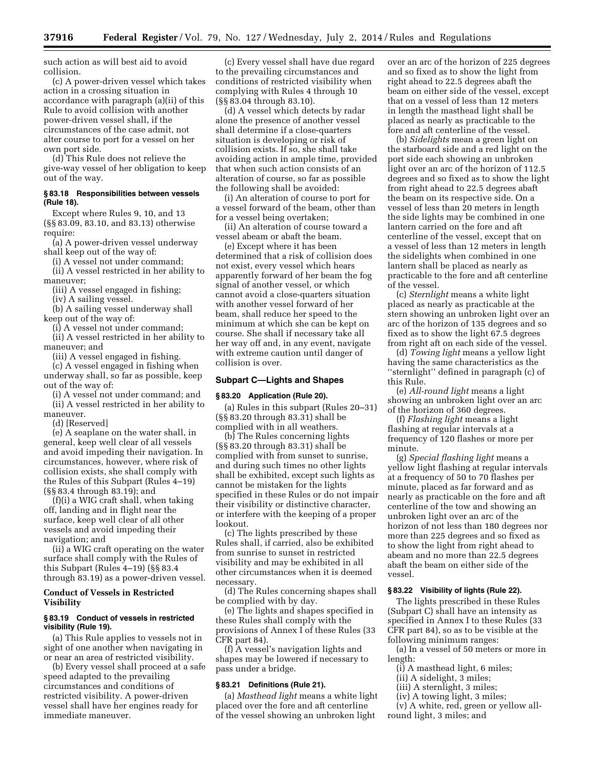such action as will best aid to avoid collision.

(c) A power-driven vessel which takes action in a crossing situation in accordance with paragraph (a)(ii) of this Rule to avoid collision with another power-driven vessel shall, if the circumstances of the case admit, not alter course to port for a vessel on her own port side.

(d) This Rule does not relieve the give-way vessel of her obligation to keep out of the way.

#### **§ 83.18 Responsibilities between vessels (Rule 18).**

Except where Rules 9, 10, and 13 (§§ 83.09, 83.10, and 83.13) otherwise require:

(a) A power-driven vessel underway shall keep out of the way of:

(i) A vessel not under command;

(ii) A vessel restricted in her ability to maneuver;

(iii) A vessel engaged in fishing;

(iv) A sailing vessel.

(b) A sailing vessel underway shall keep out of the way of:

(i) A vessel not under command; (ii) A vessel restricted in her ability to maneuver; and

(iii) A vessel engaged in fishing.

(c) A vessel engaged in fishing when underway shall, so far as possible, keep out of the way of:

(i) A vessel not under command; and (ii) A vessel restricted in her ability to maneuver.

(d) [Reserved]

(e) A seaplane on the water shall, in general, keep well clear of all vessels and avoid impeding their navigation. In circumstances, however, where risk of collision exists, she shall comply with the Rules of this Subpart (Rules 4–19) (§§ 83.4 through 83.19); and

(f)(i) a WIG craft shall, when taking off, landing and in flight near the surface, keep well clear of all other vessels and avoid impeding their navigation; and

(ii) a WIG craft operating on the water surface shall comply with the Rules of this Subpart (Rules 4–19) (§§ 83.4 through 83.19) as a power-driven vessel.

#### **Conduct of Vessels in Restricted Visibility**

#### **§ 83.19 Conduct of vessels in restricted visibility (Rule 19).**

(a) This Rule applies to vessels not in sight of one another when navigating in or near an area of restricted visibility.

(b) Every vessel shall proceed at a safe speed adapted to the prevailing circumstances and conditions of restricted visibility. A power-driven vessel shall have her engines ready for immediate maneuver.

(c) Every vessel shall have due regard to the prevailing circumstances and conditions of restricted visibility when complying with Rules 4 through 10 (§§ 83.04 through 83.10).

(d) A vessel which detects by radar alone the presence of another vessel shall determine if a close-quarters situation is developing or risk of collision exists. If so, she shall take avoiding action in ample time, provided that when such action consists of an alteration of course, so far as possible the following shall be avoided:

(i) An alteration of course to port for a vessel forward of the beam, other than for a vessel being overtaken;

(ii) An alteration of course toward a vessel abeam or abaft the beam.

(e) Except where it has been determined that a risk of collision does not exist, every vessel which hears apparently forward of her beam the fog signal of another vessel, or which cannot avoid a close-quarters situation with another vessel forward of her beam, shall reduce her speed to the minimum at which she can be kept on course. She shall if necessary take all her way off and, in any event, navigate with extreme caution until danger of collision is over.

#### **Subpart C—Lights and Shapes**

#### **§ 83.20 Application (Rule 20).**

(a) Rules in this subpart (Rules 20–31) (§§ 83.20 through 83.31) shall be complied with in all weathers.

(b) The Rules concerning lights (§§ 83.20 through 83.31) shall be complied with from sunset to sunrise, and during such times no other lights shall be exhibited, except such lights as cannot be mistaken for the lights specified in these Rules or do not impair their visibility or distinctive character, or interfere with the keeping of a proper lookout.

(c) The lights prescribed by these Rules shall, if carried, also be exhibited from sunrise to sunset in restricted visibility and may be exhibited in all other circumstances when it is deemed necessary.

(d) The Rules concerning shapes shall be complied with by day.

(e) The lights and shapes specified in these Rules shall comply with the provisions of Annex I of these Rules (33 CFR part 84).

(f) A vessel's navigation lights and shapes may be lowered if necessary to pass under a bridge.

#### **§ 83.21 Definitions (Rule 21).**

(a) *Masthead light* means a white light placed over the fore and aft centerline of the vessel showing an unbroken light

over an arc of the horizon of 225 degrees and so fixed as to show the light from right ahead to 22.5 degrees abaft the beam on either side of the vessel, except that on a vessel of less than 12 meters in length the masthead light shall be placed as nearly as practicable to the fore and aft centerline of the vessel.

(b) *Sidelights* mean a green light on the starboard side and a red light on the port side each showing an unbroken light over an arc of the horizon of 112.5 degrees and so fixed as to show the light from right ahead to 22.5 degrees abaft the beam on its respective side. On a vessel of less than 20 meters in length the side lights may be combined in one lantern carried on the fore and aft centerline of the vessel, except that on a vessel of less than 12 meters in length the sidelights when combined in one lantern shall be placed as nearly as practicable to the fore and aft centerline of the vessel.

(c) *Sternlight* means a white light placed as nearly as practicable at the stern showing an unbroken light over an arc of the horizon of 135 degrees and so fixed as to show the light 67.5 degrees from right aft on each side of the vessel.

(d) *Towing light* means a yellow light having the same characteristics as the ''sternlight'' defined in paragraph (c) of this Rule.

(e) *All-round light* means a light showing an unbroken light over an arc of the horizon of 360 degrees.

(f) *Flashing light* means a light flashing at regular intervals at a frequency of 120 flashes or more per minute.

(g) *Special flashing light* means a yellow light flashing at regular intervals at a frequency of 50 to 70 flashes per minute, placed as far forward and as nearly as practicable on the fore and aft centerline of the tow and showing an unbroken light over an arc of the horizon of not less than 180 degrees nor more than 225 degrees and so fixed as to show the light from right ahead to abeam and no more than 22.5 degrees abaft the beam on either side of the vessel.

#### **§ 83.22 Visibility of lights (Rule 22).**

The lights prescribed in these Rules (Subpart C) shall have an intensity as specified in Annex I to these Rules (33 CFR part 84), so as to be visible at the following minimum ranges:

(a) In a vessel of 50 meters or more in length:

(i) A masthead light, 6 miles;

- (ii) A sidelight, 3 miles;
- (iii) A sternlight, 3 miles;
- (iv) A towing light, 3 miles;
- (v) A white, red, green or yellow allround light, 3 miles; and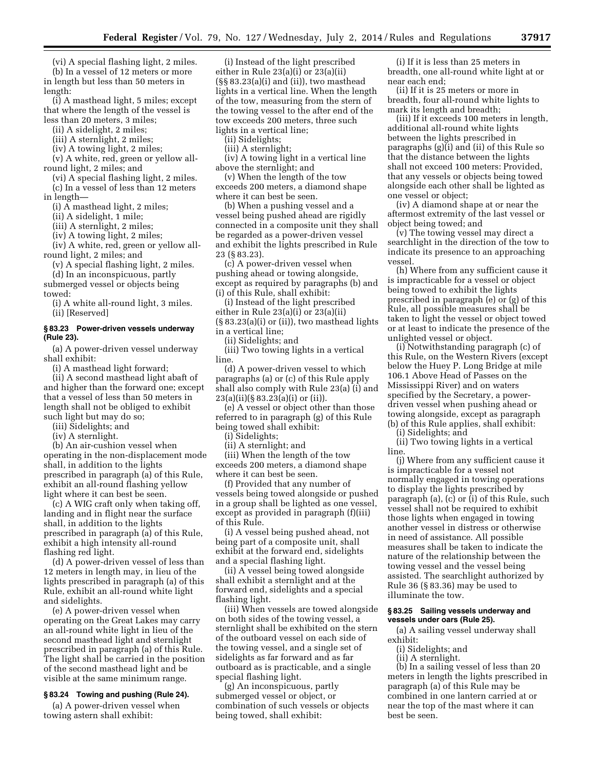(vi) A special flashing light, 2 miles. (b) In a vessel of 12 meters or more in length but less than 50 meters in

length: (i) A masthead light, 5 miles; except that where the length of the vessel is

less than 20 meters, 3 miles;

(ii) A sidelight, 2 miles;

(iii) A sternlight, 2 miles;

(iv) A towing light, 2 miles;

(v) A white, red, green or yellow allround light, 2 miles; and

(vi) A special flashing light, 2 miles. (c) In a vessel of less than 12 meters

in length—

(i) A masthead light, 2 miles;

(ii) A sidelight, 1 mile;

(iii) A sternlight, 2 miles;

(iv) A towing light, 2 miles;

(iv) A white, red, green or yellow allround light, 2 miles; and

(v) A special flashing light, 2 miles. (d) In an inconspicuous, partly

submerged vessel or objects being towed:

(i) A white all-round light, 3 miles.

(ii) [Reserved]

#### **§ 83.23 Power-driven vessels underway (Rule 23).**

(a) A power-driven vessel underway shall exhibit:

(i) A masthead light forward;

(ii) A second masthead light abaft of and higher than the forward one; except that a vessel of less than 50 meters in length shall not be obliged to exhibit such light but may do so;

(iii) Sidelights; and

(iv) A sternlight.

(b) An air-cushion vessel when

operating in the non-displacement mode shall, in addition to the lights prescribed in paragraph (a) of this Rule, exhibit an all-round flashing yellow light where it can best be seen.

(c) A WIG craft only when taking off, landing and in flight near the surface shall, in addition to the lights prescribed in paragraph (a) of this Rule, exhibit a high intensity all-round flashing red light.

(d) A power-driven vessel of less than 12 meters in length may, in lieu of the lights prescribed in paragraph (a) of this Rule, exhibit an all-round white light and sidelights.

(e) A power-driven vessel when operating on the Great Lakes may carry an all-round white light in lieu of the second masthead light and sternlight prescribed in paragraph (a) of this Rule. The light shall be carried in the position of the second masthead light and be visible at the same minimum range.

#### **§ 83.24 Towing and pushing (Rule 24).**

(a) A power-driven vessel when towing astern shall exhibit:

(i) Instead of the light prescribed either in Rule 23(a)(i) or 23(a)(ii)  $(S\ S\ 83.23(a)(i)$  and  $(ii)$ , two masthead lights in a vertical line. When the length of the tow, measuring from the stern of the towing vessel to the after end of the tow exceeds 200 meters, three such lights in a vertical line;

(ii) Sidelights;

(iii) A sternlight;

(iv) A towing light in a vertical line above the sternlight; and

(v) When the length of the tow exceeds 200 meters, a diamond shape where it can best be seen.

(b) When a pushing vessel and a vessel being pushed ahead are rigidly connected in a composite unit they shall be regarded as a power-driven vessel and exhibit the lights prescribed in Rule 23 (§ 83.23).

(c) A power-driven vessel when pushing ahead or towing alongside, except as required by paragraphs (b) and (i) of this Rule, shall exhibit:

(i) Instead of the light prescribed either in Rule 23(a)(i) or 23(a)(ii) (§ 83.23(a)(i) or (ii)), two masthead lights in a vertical line;

(ii) Sidelights; and

(iii) Two towing lights in a vertical line.

(d) A power-driven vessel to which paragraphs (a) or (c) of this Rule apply shall also comply with Rule 23(a) (i) and 23(a)(ii)(§ 83.23(a)(i) or (ii)).

(e) A vessel or object other than those referred to in paragraph (g) of this Rule being towed shall exhibit:

(i) Sidelights;

(ii) A sternlight; and

(iii) When the length of the tow exceeds 200 meters, a diamond shape where it can best be seen.

(f) Provided that any number of vessels being towed alongside or pushed in a group shall be lighted as one vessel, except as provided in paragraph (f)(iii) of this Rule.

(i) A vessel being pushed ahead, not being part of a composite unit, shall exhibit at the forward end, sidelights and a special flashing light.

(ii) A vessel being towed alongside shall exhibit a sternlight and at the forward end, sidelights and a special flashing light.

(iii) When vessels are towed alongside on both sides of the towing vessel, a sternlight shall be exhibited on the stern of the outboard vessel on each side of the towing vessel, and a single set of sidelights as far forward and as far outboard as is practicable, and a single special flashing light.

(g) An inconspicuous, partly submerged vessel or object, or combination of such vessels or objects being towed, shall exhibit:

(i) If it is less than 25 meters in breadth, one all-round white light at or near each end;

(ii) If it is 25 meters or more in breadth, four all-round white lights to mark its length and breadth;

(iii) If it exceeds 100 meters in length, additional all-round white lights between the lights prescribed in paragraphs (g)(i) and (ii) of this Rule so that the distance between the lights shall not exceed 100 meters: Provided, that any vessels or objects being towed alongside each other shall be lighted as one vessel or object;

(iv) A diamond shape at or near the aftermost extremity of the last vessel or object being towed; and

(v) The towing vessel may direct a searchlight in the direction of the tow to indicate its presence to an approaching vessel.

(h) Where from any sufficient cause it is impracticable for a vessel or object being towed to exhibit the lights prescribed in paragraph (e) or (g) of this Rule, all possible measures shall be taken to light the vessel or object towed or at least to indicate the presence of the unlighted vessel or object.

(i) Notwithstanding paragraph (c) of this Rule, on the Western Rivers (except below the Huey P. Long Bridge at mile 106.1 Above Head of Passes on the Mississippi River) and on waters specified by the Secretary, a powerdriven vessel when pushing ahead or towing alongside, except as paragraph (b) of this Rule applies, shall exhibit:

(i) Sidelights; and

(ii) Two towing lights in a vertical line.

(j) Where from any sufficient cause it is impracticable for a vessel not normally engaged in towing operations to display the lights prescribed by paragraph (a), (c) or (i) of this Rule, such vessel shall not be required to exhibit those lights when engaged in towing another vessel in distress or otherwise in need of assistance. All possible measures shall be taken to indicate the nature of the relationship between the towing vessel and the vessel being assisted. The searchlight authorized by Rule 36 (§ 83.36) may be used to illuminate the tow.

#### **§ 83.25 Sailing vessels underway and vessels under oars (Rule 25).**

(a) A sailing vessel underway shall exhibit:

- (i) Sidelights; and
- (ii) A sternlight.

(b) In a sailing vessel of less than 20 meters in length the lights prescribed in paragraph (a) of this Rule may be combined in one lantern carried at or near the top of the mast where it can best be seen.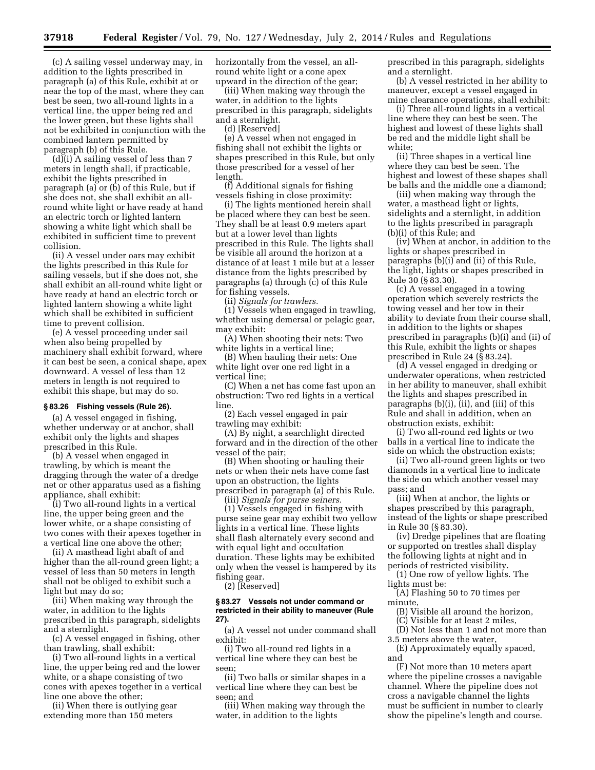(c) A sailing vessel underway may, in addition to the lights prescribed in paragraph (a) of this Rule, exhibit at or near the top of the mast, where they can best be seen, two all-round lights in a vertical line, the upper being red and the lower green, but these lights shall not be exhibited in conjunction with the combined lantern permitted by paragraph (b) of this Rule.

 $(d)(i)$  A sailing vessel of less than 7 meters in length shall, if practicable, exhibit the lights prescribed in paragraph (a) or (b) of this Rule, but if she does not, she shall exhibit an allround white light or have ready at hand an electric torch or lighted lantern showing a white light which shall be exhibited in sufficient time to prevent collision.

(ii) A vessel under oars may exhibit the lights prescribed in this Rule for sailing vessels, but if she does not, she shall exhibit an all-round white light or have ready at hand an electric torch or lighted lantern showing a white light which shall be exhibited in sufficient time to prevent collision.

(e) A vessel proceeding under sail when also being propelled by machinery shall exhibit forward, where it can best be seen, a conical shape, apex downward. A vessel of less than 12 meters in length is not required to exhibit this shape, but may do so.

#### **§ 83.26 Fishing vessels (Rule 26).**

(a) A vessel engaged in fishing, whether underway or at anchor, shall exhibit only the lights and shapes prescribed in this Rule.

(b) A vessel when engaged in trawling, by which is meant the dragging through the water of a dredge net or other apparatus used as a fishing appliance, shall exhibit:

(i) Two all-round lights in a vertical line, the upper being green and the lower white, or a shape consisting of two cones with their apexes together in a vertical line one above the other;

(ii) A masthead light abaft of and higher than the all-round green light; a vessel of less than 50 meters in length shall not be obliged to exhibit such a light but may do so;

(iii) When making way through the water, in addition to the lights prescribed in this paragraph, sidelights and a sternlight.

(c) A vessel engaged in fishing, other than trawling, shall exhibit:

(i) Two all-round lights in a vertical line, the upper being red and the lower white, or a shape consisting of two cones with apexes together in a vertical line one above the other;

(ii) When there is outlying gear extending more than 150 meters

horizontally from the vessel, an allround white light or a cone apex upward in the direction of the gear;

(iii) When making way through the water, in addition to the lights prescribed in this paragraph, sidelights and a sternlight.

(d) [Reserved]

(e) A vessel when not engaged in fishing shall not exhibit the lights or shapes prescribed in this Rule, but only those prescribed for a vessel of her length.

(f) Additional signals for fishing vessels fishing in close proximity:

(i) The lights mentioned herein shall be placed where they can best be seen. They shall be at least 0.9 meters apart but at a lower level than lights prescribed in this Rule. The lights shall be visible all around the horizon at a distance of at least 1 mile but at a lesser distance from the lights prescribed by paragraphs (a) through (c) of this Rule for fishing vessels.

(ii) *Signals for trawlers.* 

(1) Vessels when engaged in trawling, whether using demersal or pelagic gear, may exhibit:

(A) When shooting their nets: Two white lights in a vertical line;

(B) When hauling their nets: One white light over one red light in a vertical line;

(C) When a net has come fast upon an obstruction: Two red lights in a vertical line.

(2) Each vessel engaged in pair trawling may exhibit:

(A) By night, a searchlight directed forward and in the direction of the other vessel of the pair;

(B) When shooting or hauling their nets or when their nets have come fast upon an obstruction, the lights prescribed in paragraph (a) of this Rule.

(iii) *Signals for purse seiners.* 

(1) Vessels engaged in fishing with purse seine gear may exhibit two yellow lights in a vertical line. These lights shall flash alternately every second and with equal light and occultation duration. These lights may be exhibited only when the vessel is hampered by its fishing gear.

(2) [Reserved]

#### **§ 83.27 Vessels not under command or restricted in their ability to maneuver (Rule 27).**

(a) A vessel not under command shall exhibit:

(i) Two all-round red lights in a vertical line where they can best be seen;

(ii) Two balls or similar shapes in a vertical line where they can best be seen; and

(iii) When making way through the water, in addition to the lights

prescribed in this paragraph, sidelights and a sternlight.

(b) A vessel restricted in her ability to maneuver, except a vessel engaged in mine clearance operations, shall exhibit:

(i) Three all-round lights in a vertical line where they can best be seen. The highest and lowest of these lights shall be red and the middle light shall be white;

(ii) Three shapes in a vertical line where they can best be seen. The highest and lowest of these shapes shall be balls and the middle one a diamond;

(iii) when making way through the water, a masthead light or lights, sidelights and a sternlight, in addition to the lights prescribed in paragraph (b)(i) of this Rule; and

(iv) When at anchor, in addition to the lights or shapes prescribed in paragraphs (b)(i) and (ii) of this Rule, the light, lights or shapes prescribed in Rule 30 (§ 83.30).

(c) A vessel engaged in a towing operation which severely restricts the towing vessel and her tow in their ability to deviate from their course shall, in addition to the lights or shapes prescribed in paragraphs (b)(i) and (ii) of this Rule, exhibit the lights or shapes prescribed in Rule 24 (§ 83.24).

(d) A vessel engaged in dredging or underwater operations, when restricted in her ability to maneuver, shall exhibit the lights and shapes prescribed in paragraphs (b)(i), (ii), and (iii) of this Rule and shall in addition, when an obstruction exists, exhibit:

(i) Two all-round red lights or two balls in a vertical line to indicate the side on which the obstruction exists;

(ii) Two all-round green lights or two diamonds in a vertical line to indicate the side on which another vessel may pass; and

(iii) When at anchor, the lights or shapes prescribed by this paragraph, instead of the lights or shape prescribed in Rule 30 (§ 83.30).

(iv) Dredge pipelines that are floating or supported on trestles shall display the following lights at night and in periods of restricted visibility.

(1) One row of yellow lights. The lights must be:

(A) Flashing 50 to 70 times per minute,

(B) Visible all around the horizon,

(C) Visible for at least 2 miles,

(D) Not less than 1 and not more than 3.5 meters above the water,

(E) Approximately equally spaced, and

(F) Not more than 10 meters apart where the pipeline crosses a navigable channel. Where the pipeline does not cross a navigable channel the lights must be sufficient in number to clearly show the pipeline's length and course.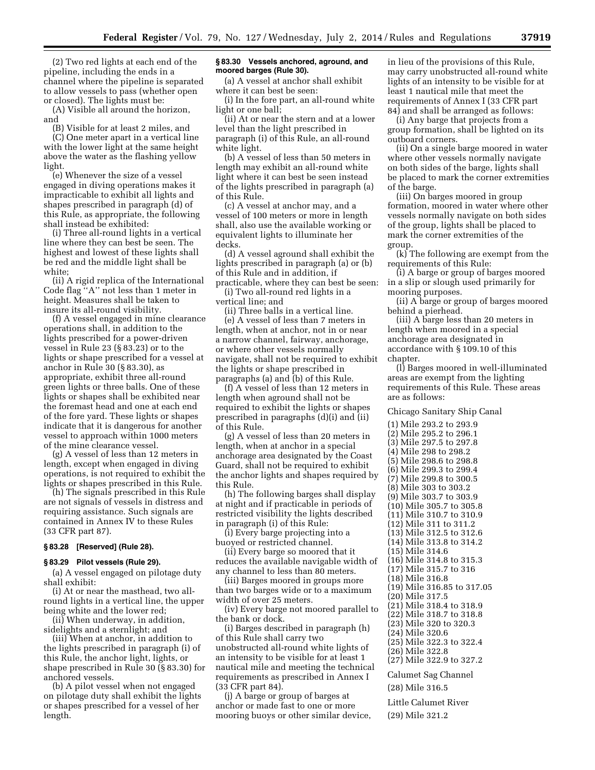(2) Two red lights at each end of the pipeline, including the ends in a channel where the pipeline is separated to allow vessels to pass (whether open or closed). The lights must be:

(A) Visible all around the horizon, and

(B) Visible for at least 2 miles, and

(C) One meter apart in a vertical line with the lower light at the same height above the water as the flashing yellow light.

(e) Whenever the size of a vessel engaged in diving operations makes it impracticable to exhibit all lights and shapes prescribed in paragraph (d) of this Rule, as appropriate, the following shall instead be exhibited:

(i) Three all-round lights in a vertical line where they can best be seen. The highest and lowest of these lights shall be red and the middle light shall be white;

(ii) A rigid replica of the International Code flag ''A'' not less than 1 meter in height. Measures shall be taken to insure its all-round visibility.

(f) A vessel engaged in mine clearance operations shall, in addition to the lights prescribed for a power-driven vessel in Rule 23 (§ 83.23) or to the lights or shape prescribed for a vessel at anchor in Rule 30 (§ 83.30), as appropriate, exhibit three all-round green lights or three balls. One of these lights or shapes shall be exhibited near the foremast head and one at each end of the fore yard. These lights or shapes indicate that it is dangerous for another vessel to approach within 1000 meters of the mine clearance vessel.

(g) A vessel of less than 12 meters in length, except when engaged in diving operations, is not required to exhibit the lights or shapes prescribed in this Rule.

(h) The signals prescribed in this Rule are not signals of vessels in distress and requiring assistance. Such signals are contained in Annex IV to these Rules (33 CFR part 87).

#### **§ 83.28 [Reserved] (Rule 28).**

#### **§ 83.29 Pilot vessels (Rule 29).**

(a) A vessel engaged on pilotage duty shall exhibit:

(i) At or near the masthead, two allround lights in a vertical line, the upper being white and the lower red;

(ii) When underway, in addition, sidelights and a sternlight; and

(iii) When at anchor, in addition to the lights prescribed in paragraph (i) of this Rule, the anchor light, lights, or shape prescribed in Rule 30 (§ 83.30) for anchored vessels.

(b) A pilot vessel when not engaged on pilotage duty shall exhibit the lights or shapes prescribed for a vessel of her length.

#### **§ 83.30 Vessels anchored, aground, and moored barges (Rule 30).**

(a) A vessel at anchor shall exhibit where it can best be seen:

(i) In the fore part, an all-round white light or one ball;

(ii) At or near the stern and at a lower level than the light prescribed in paragraph (i) of this Rule, an all-round white light.

(b) A vessel of less than 50 meters in length may exhibit an all-round white light where it can best be seen instead of the lights prescribed in paragraph (a) of this Rule.

(c) A vessel at anchor may, and a vessel of 100 meters or more in length shall, also use the available working or equivalent lights to illuminate her decks.

(d) A vessel aground shall exhibit the lights prescribed in paragraph (a) or (b) of this Rule and in addition, if practicable, where they can best be seen:

(i) Two all-round red lights in a vertical line; and

(ii) Three balls in a vertical line. (e) A vessel of less than 7 meters in length, when at anchor, not in or near a narrow channel, fairway, anchorage, or where other vessels normally navigate, shall not be required to exhibit the lights or shape prescribed in paragraphs (a) and (b) of this Rule.

(f) A vessel of less than 12 meters in length when aground shall not be required to exhibit the lights or shapes prescribed in paragraphs (d)(i) and (ii) of this Rule.

(g) A vessel of less than 20 meters in length, when at anchor in a special anchorage area designated by the Coast Guard, shall not be required to exhibit the anchor lights and shapes required by this Rule.

(h) The following barges shall display at night and if practicable in periods of restricted visibility the lights described in paragraph (i) of this Rule:

(i) Every barge projecting into a buoyed or restricted channel.

(ii) Every barge so moored that it reduces the available navigable width of any channel to less than 80 meters.

(iii) Barges moored in groups more than two barges wide or to a maximum width of over 25 meters.

(iv) Every barge not moored parallel to the bank or dock.

(i) Barges described in paragraph (h) of this Rule shall carry two unobstructed all-round white lights of an intensity to be visible for at least 1 nautical mile and meeting the technical requirements as prescribed in Annex I (33 CFR part 84).

(j) A barge or group of barges at anchor or made fast to one or more mooring buoys or other similar device, in lieu of the provisions of this Rule, may carry unobstructed all-round white lights of an intensity to be visible for at least 1 nautical mile that meet the requirements of Annex I (33 CFR part 84) and shall be arranged as follows:

(i) Any barge that projects from a group formation, shall be lighted on its outboard corners.

(ii) On a single barge moored in water where other vessels normally navigate on both sides of the barge, lights shall be placed to mark the corner extremities of the barge.

(iii) On barges moored in group formation, moored in water where other vessels normally navigate on both sides of the group, lights shall be placed to mark the corner extremities of the group.

(k) The following are exempt from the requirements of this Rule:

(i) A barge or group of barges moored in a slip or slough used primarily for mooring purposes.

(ii) A barge or group of barges moored behind a pierhead.

(iii) A barge less than 20 meters in length when moored in a special anchorage area designated in accordance with § 109.10 of this chapter.

(l) Barges moored in well-illuminated areas are exempt from the lighting requirements of this Rule. These areas are as follows:

Chicago Sanitary Ship Canal

(1) Mile 293.2 to 293.9 (2) Mile 295.2 to 296.1 (3) Mile 297.5 to 297.8 (4) Mile 298 to 298.2 (5) Mile 298.6 to 298.8 (6) Mile 299.3 to 299.4 (7) Mile 299.8 to 300.5 (8) Mile 303 to 303.2 (9) Mile 303.7 to 303.9 (10) Mile 305.7 to 305.8 (11) Mile 310.7 to 310.9 (12) Mile 311 to 311.2 (13) Mile 312.5 to 312.6 (14) Mile 313.8 to 314.2 (15) Mile 314.6 (16) Mile 314.8 to 315.3 (17) Mile 315.7 to 316 (18) Mile 316.8 (19) Mile 316.85 to 317.05 (20) Mile 317.5 (21) Mile 318.4 to 318.9 (22) Mile 318.7 to 318.8 (23) Mile 320 to 320.3 (24) Mile 320.6 (25) Mile 322.3 to 322.4 (26) Mile 322.8 (27) Mile 322.9 to 327.2 Calumet Sag Channel (28) Mile 316.5

Little Calumet River

(29) Mile 321.2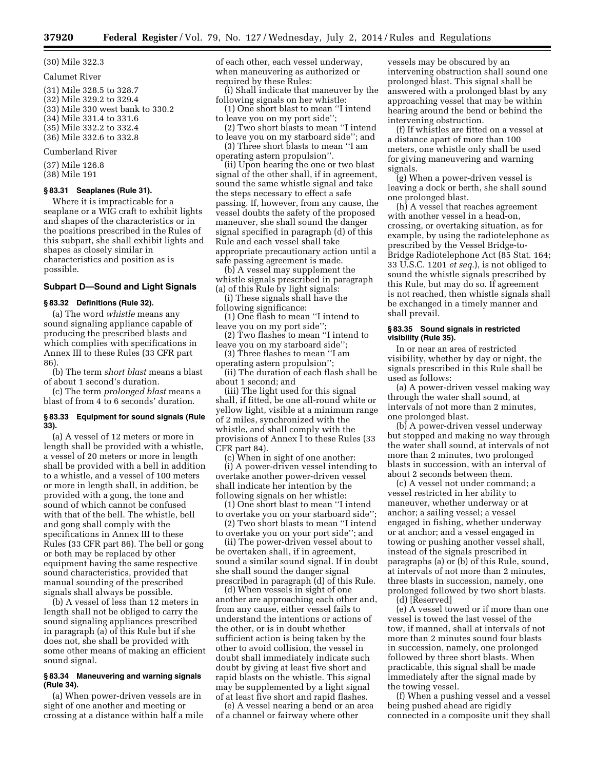#### (30) Mile 322.3

#### Calumet River

(31) Mile 328.5 to 328.7 (32) Mile 329.2 to 329.4 (33) Mile 330 west bank to 330.2 (34) Mile 331.4 to 331.6 (35) Mile 332.2 to 332.4 (36) Mile 332.6 to 332.8

#### Cumberland River

(37) Mile 126.8 (38) Mile 191

## **§ 83.31 Seaplanes (Rule 31).**

Where it is impracticable for a seaplane or a WIG craft to exhibit lights and shapes of the characteristics or in the positions prescribed in the Rules of this subpart, she shall exhibit lights and shapes as closely similar in characteristics and position as is possible.

#### **Subpart D—Sound and Light Signals**

#### **§ 83.32 Definitions (Rule 32).**

(a) The word *whistle* means any sound signaling appliance capable of producing the prescribed blasts and which complies with specifications in Annex III to these Rules (33 CFR part 86).

(b) The term *short blast* means a blast of about 1 second's duration.

(c) The term *prolonged blast* means a blast of from 4 to 6 seconds' duration.

#### **§ 83.33 Equipment for sound signals (Rule 33).**

(a) A vessel of 12 meters or more in length shall be provided with a whistle, a vessel of 20 meters or more in length shall be provided with a bell in addition to a whistle, and a vessel of 100 meters or more in length shall, in addition, be provided with a gong, the tone and sound of which cannot be confused with that of the bell. The whistle, bell and gong shall comply with the specifications in Annex III to these Rules (33 CFR part 86). The bell or gong or both may be replaced by other equipment having the same respective sound characteristics, provided that manual sounding of the prescribed signals shall always be possible.

(b) A vessel of less than 12 meters in length shall not be obliged to carry the sound signaling appliances prescribed in paragraph (a) of this Rule but if she does not, she shall be provided with some other means of making an efficient sound signal.

#### **§ 83.34 Maneuvering and warning signals (Rule 34).**

(a) When power-driven vessels are in sight of one another and meeting or crossing at a distance within half a mile of each other, each vessel underway, when maneuvering as authorized or required by these Rules:

(i) Shall indicate that maneuver by the following signals on her whistle:

(1) One short blast to mean ''I intend to leave you on my port side'';

(2) Two short blasts to mean ''I intend to leave you on my starboard side''; and

(3) Three short blasts to mean ''I am operating astern propulsion''.

(ii) Upon hearing the one or two blast signal of the other shall, if in agreement, sound the same whistle signal and take the steps necessary to effect a safe passing. If, however, from any cause, the vessel doubts the safety of the proposed maneuver, she shall sound the danger signal specified in paragraph (d) of this Rule and each vessel shall take appropriate precautionary action until a safe passing agreement is made.

(b) A vessel may supplement the whistle signals prescribed in paragraph (a) of this Rule by light signals:

(i) These signals shall have the following significance:

(1) One flash to mean ''I intend to leave you on my port side'';

(2) Two flashes to mean ''I intend to leave you on my starboard side'';

(3) Three flashes to mean ''I am operating astern propulsion'';

(ii) The duration of each flash shall be about 1 second; and

(iii) The light used for this signal shall, if fitted, be one all-round white or yellow light, visible at a minimum range of 2 miles, synchronized with the whistle, and shall comply with the provisions of Annex I to these Rules (33 CFR part 84).

(c) When in sight of one another: (i) A power-driven vessel intending to overtake another power-driven vessel shall indicate her intention by the following signals on her whistle:

(1) One short blast to mean ''I intend to overtake you on your starboard side'';

(2) Two short blasts to mean ''I intend to overtake you on your port side''; and

(ii) The power-driven vessel about to be overtaken shall, if in agreement, sound a similar sound signal. If in doubt she shall sound the danger signal prescribed in paragraph (d) of this Rule.

(d) When vessels in sight of one another are approaching each other and, from any cause, either vessel fails to understand the intentions or actions of the other, or is in doubt whether sufficient action is being taken by the other to avoid collision, the vessel in doubt shall immediately indicate such doubt by giving at least five short and rapid blasts on the whistle. This signal may be supplemented by a light signal of at least five short and rapid flashes.

(e) A vessel nearing a bend or an area of a channel or fairway where other

vessels may be obscured by an intervening obstruction shall sound one prolonged blast. This signal shall be answered with a prolonged blast by any approaching vessel that may be within hearing around the bend or behind the intervening obstruction.

(f) If whistles are fitted on a vessel at a distance apart of more than 100 meters, one whistle only shall be used for giving maneuvering and warning signals.

(g) When a power-driven vessel is leaving a dock or berth, she shall sound one prolonged blast.

(h) A vessel that reaches agreement with another vessel in a head-on, crossing, or overtaking situation, as for example, by using the radiotelephone as prescribed by the Vessel Bridge-to-Bridge Radiotelephone Act (85 Stat. 164; 33 U.S.C. 1201 *et seq.*), is not obliged to sound the whistle signals prescribed by this Rule, but may do so. If agreement is not reached, then whistle signals shall be exchanged in a timely manner and shall prevail.

#### **§ 83.35 Sound signals in restricted visibility (Rule 35).**

In or near an area of restricted visibility, whether by day or night, the signals prescribed in this Rule shall be used as follows:

(a) A power-driven vessel making way through the water shall sound, at intervals of not more than 2 minutes, one prolonged blast.

(b) A power-driven vessel underway but stopped and making no way through the water shall sound, at intervals of not more than 2 minutes, two prolonged blasts in succession, with an interval of about 2 seconds between them.

(c) A vessel not under command; a vessel restricted in her ability to maneuver, whether underway or at anchor; a sailing vessel; a vessel engaged in fishing, whether underway or at anchor; and a vessel engaged in towing or pushing another vessel shall, instead of the signals prescribed in paragraphs (a) or (b) of this Rule, sound, at intervals of not more than 2 minutes, three blasts in succession, namely, one prolonged followed by two short blasts. (d) [Reserved]

(e) A vessel towed or if more than one vessel is towed the last vessel of the tow, if manned, shall at intervals of not more than 2 minutes sound four blasts in succession, namely, one prolonged followed by three short blasts. When practicable, this signal shall be made immediately after the signal made by the towing vessel.

(f) When a pushing vessel and a vessel being pushed ahead are rigidly connected in a composite unit they shall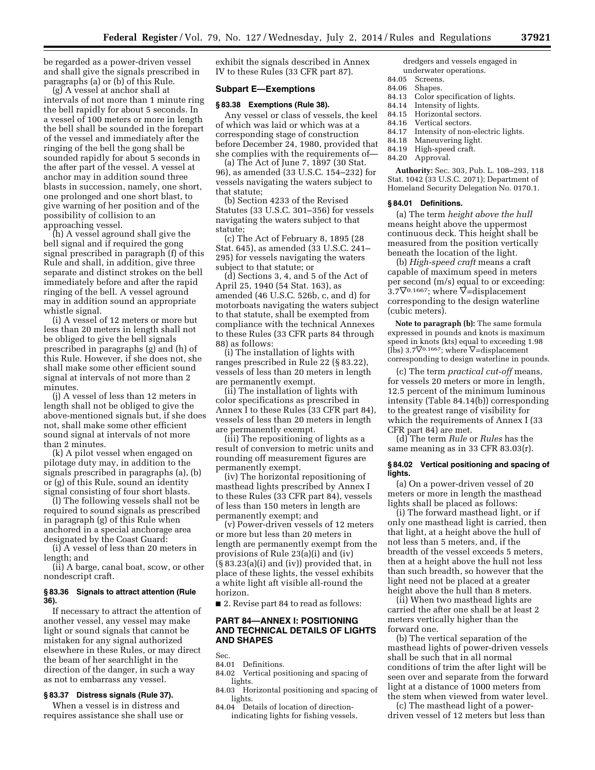be regarded as a power-driven vessel and shall give the signals prescribed in paragraphs (a) or (b) of this Rule.

(g) A vessel at anchor shall at intervals of not more than 1 minute ring the bell rapidly for about 5 seconds. In a vessel of 100 meters or more in length the bell shall be sounded in the forepart of the vessel and immediately after the ringing of the bell the gong shall be sounded rapidly for about 5 seconds in the after part of the vessel. A vessel at anchor may in addition sound three blasts in succession, namely, one short, one prolonged and one short blast, to give warning of her position and of the possibility of collision to an approaching vessel.

(h) A vessel aground shall give the bell signal and if required the gong signal prescribed in paragraph (f) of this Rule and shall, in addition, give three separate and distinct strokes on the bell immediately before and after the rapid ringing of the bell. A vessel aground may in addition sound an appropriate whistle signal.

(i) A vessel of 12 meters or more but less than 20 meters in length shall not be obliged to give the bell signals prescribed in paragraphs (g) and (h) of this Rule. However, if she does not, she shall make some other efficient sound signal at intervals of not more than 2 minutes.

(j) A vessel of less than 12 meters in length shall not be obliged to give the above-mentioned signals but, if she does not, shall make some other efficient sound signal at intervals of not more than 2 minutes.

(k) A pilot vessel when engaged on pilotage duty may, in addition to the signals prescribed in paragraphs (a), (b) or (g) of this Rule, sound an identity signal consisting of four short blasts.

(l) The following vessels shall not be required to sound signals as prescribed in paragraph (g) of this Rule when anchored in a special anchorage area designated by the Coast Guard:

(i) A vessel of less than 20 meters in length; and

(ii) A barge, canal boat, scow, or other nondescript craft.

#### **§ 83.36 Signals to attract attention (Rule 36).**

If necessary to attract the attention of another vessel, any vessel may make light or sound signals that cannot be mistaken for any signal authorized elsewhere in these Rules, or may direct the beam of her searchlight in the direction of the danger, in such a way as not to embarrass any vessel.

#### **§ 83.37 Distress signals (Rule 37).**

When a vessel is in distress and requires assistance she shall use or exhibit the signals described in Annex IV to these Rules (33 CFR part 87).

#### **Subpart E—Exemptions**

#### **§ 83.38 Exemptions (Rule 38).**

Any vessel or class of vessels, the keel of which was laid or which was at a corresponding stage of construction before December 24, 1980, provided that she complies with the requirements of—

(a) The Act of June 7, 1897 (30 Stat. 96), as amended (33 U.S.C. 154–232) for vessels navigating the waters subject to that statute;

(b) Section 4233 of the Revised Statutes (33 U.S.C. 301–356) for vessels navigating the waters subject to that statute;

(c) The Act of February 8, 1895 (28 Stat. 645), as amended (33 U.S.C. 241– 295) for vessels navigating the waters subject to that statute; or

(d) Sections 3, 4, and 5 of the Act of April 25, 1940 (54 Stat. 163), as amended (46 U.S.C. 526b, c, and d) for motorboats navigating the waters subject to that statute, shall be exempted from compliance with the technical Annexes to these Rules (33 CFR parts 84 through 88) as follows:

(i) The installation of lights with ranges prescribed in Rule 22 (§ 83.22), vessels of less than 20 meters in length are permanently exempt.

(ii) The installation of lights with color specifications as prescribed in Annex I to these Rules (33 CFR part 84), vessels of less than 20 meters in length are permanently exempt.

(iii) The repositioning of lights as a result of conversion to metric units and rounding off measurement figures are permanently exempt.

(iv) The horizontal repositioning of masthead lights prescribed by Annex I to these Rules (33 CFR part 84), vessels of less than 150 meters in length are permanently exempt; and

(v) Power-driven vessels of 12 meters or more but less than 20 meters in length are permanently exempt from the provisions of Rule 23(a)(i) and (iv) (§ 83.23(a)(i) and (iv)) provided that, in place of these lights, the vessel exhibits a white light aft visible all-round the horizon.

■ 2. Revise part 84 to read as follows:

#### **PART 84—ANNEX I: POSITIONING AND TECHNICAL DETAILS OF LIGHTS AND SHAPES**

Sec.

- 84.01 Definitions.
- 84.02 Vertical positioning and spacing of lights.
- 84.03 Horizontal positioning and spacing of lights.
- 84.04 Details of location of directionindicating lights for fishing vessels,

dredgers and vessels engaged in underwater operations.<br>84.05 Screens.

- Screens.
- 84.06 Shapes.
- 84.13 Color specification of lights.<br>84.14 Intensity of lights.
- Intensity of lights.
- 84.15 Horizontal sectors.
- 84.16 Vertical sectors.
- 84.17 Intensity of non-electric lights.
- 84.18 Maneuvering light.<br>84.19 High-speed craft.
- High-speed craft.
- 84.20 Approval.

**Authority:** Sec. 303, Pub. L. 108–293, 118 Stat. 1042 (33 U.S.C. 2071); Department of Homeland Security Delegation No. 0170.1.

#### **§ 84.01 Definitions.**

(a) The term *height above the hull*  means height above the uppermost continuous deck. This height shall be measured from the position vertically beneath the location of the light.

(b) *High-speed craft* means a craft capable of maximum speed in meters per second (m/s) equal to or exceeding:  $3.7\nabla^{0.1667}$ ; where  $\nabla$ =displacement corresponding to the design waterline (cubic meters).

**Note to paragraph (b):** The same formula expressed in pounds and knots is maximum speed in knots (kts) equal to exceeding 1.98 (lbs) 3.7 $\nabla$ 0.1667; where  $\nabla$ =displacement corresponding to design waterline in pounds.

(c) The term *practical cut-off* means, for vessels 20 meters or more in length, 12.5 percent of the minimum luminous intensity (Table 84.14(b)) corresponding to the greatest range of visibility for which the requirements of Annex I (33 CFR part 84) are met.

(d) The term *Rule* or *Rules* has the same meaning as in 33 CFR 83.03(r).

#### **§ 84.02 Vertical positioning and spacing of lights.**

(a) On a power-driven vessel of 20 meters or more in length the masthead lights shall be placed as follows:

(i) The forward masthead light, or if only one masthead light is carried, then that light, at a height above the hull of not less than 5 meters, and, if the breadth of the vessel exceeds 5 meters, then at a height above the hull not less than such breadth, so however that the light need not be placed at a greater height above the hull than 8 meters.

(ii) When two masthead lights are carried the after one shall be at least 2 meters vertically higher than the forward one.

(b) The vertical separation of the masthead lights of power-driven vessels shall be such that in all normal conditions of trim the after light will be seen over and separate from the forward light at a distance of 1000 meters from the stem when viewed from water level.

(c) The masthead light of a powerdriven vessel of 12 meters but less than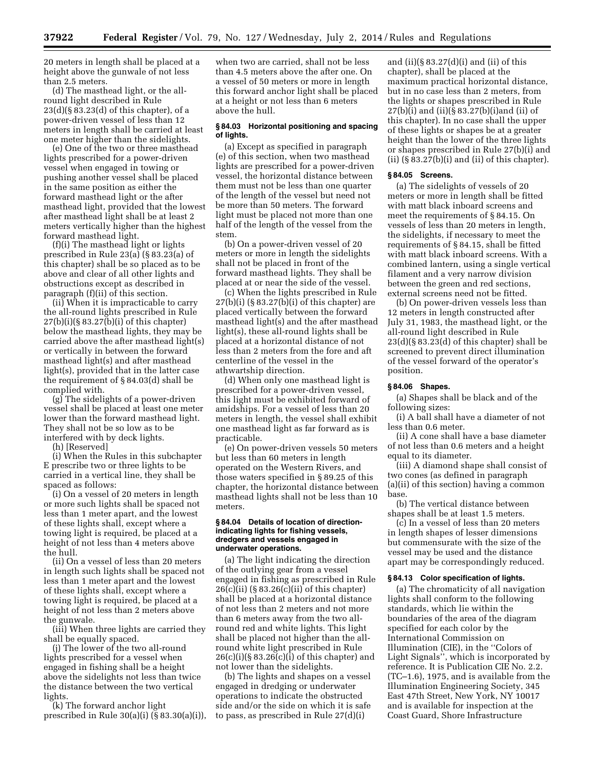20 meters in length shall be placed at a height above the gunwale of not less than 2.5 meters.

(d) The masthead light, or the allround light described in Rule 23(d)(§ 83.23(d) of this chapter), of a power-driven vessel of less than 12 meters in length shall be carried at least one meter higher than the sidelights.

(e) One of the two or three masthead lights prescribed for a power-driven vessel when engaged in towing or pushing another vessel shall be placed in the same position as either the forward masthead light or the after masthead light, provided that the lowest after masthead light shall be at least 2 meters vertically higher than the highest forward masthead light.

(f)(i) The masthead light or lights prescribed in Rule 23(a) (§ 83.23(a) of this chapter) shall be so placed as to be above and clear of all other lights and obstructions except as described in paragraph (f)(ii) of this section.

(ii) When it is impracticable to carry the all-round lights prescribed in Rule 27(b)(i)(§ 83.27(b)(i) of this chapter) below the masthead lights, they may be carried above the after masthead light(s) or vertically in between the forward masthead light(s) and after masthead light(s), provided that in the latter case the requirement of § 84.03(d) shall be complied with.

(g) The sidelights of a power-driven vessel shall be placed at least one meter lower than the forward masthead light. They shall not be so low as to be interfered with by deck lights.

(h) [Reserved]

(i) When the Rules in this subchapter E prescribe two or three lights to be carried in a vertical line, they shall be spaced as follows:

(i) On a vessel of 20 meters in length or more such lights shall be spaced not less than 1 meter apart, and the lowest of these lights shall, except where a towing light is required, be placed at a height of not less than 4 meters above the hull.

(ii) On a vessel of less than 20 meters in length such lights shall be spaced not less than 1 meter apart and the lowest of these lights shall, except where a towing light is required, be placed at a height of not less than 2 meters above the gunwale.

(iii) When three lights are carried they shall be equally spaced.

(j) The lower of the two all-round lights prescribed for a vessel when engaged in fishing shall be a height above the sidelights not less than twice the distance between the two vertical lights.

(k) The forward anchor light prescribed in Rule 30(a)(i) (§ 83.30(a)(i)), when two are carried, shall not be less than 4.5 meters above the after one. On a vessel of 50 meters or more in length this forward anchor light shall be placed at a height or not less than 6 meters above the hull.

#### **§ 84.03 Horizontal positioning and spacing of lights.**

(a) Except as specified in paragraph (e) of this section, when two masthead lights are prescribed for a power-driven vessel, the horizontal distance between them must not be less than one quarter of the length of the vessel but need not be more than 50 meters. The forward light must be placed not more than one half of the length of the vessel from the stem.

(b) On a power-driven vessel of 20 meters or more in length the sidelights shall not be placed in front of the forward masthead lights. They shall be placed at or near the side of the vessel.

(c) When the lights prescribed in Rule 27(b)(i) (§ 83.27(b)(i) of this chapter) are placed vertically between the forward masthead light(s) and the after masthead light(s), these all-round lights shall be placed at a horizontal distance of not less than 2 meters from the fore and aft centerline of the vessel in the athwartship direction.

(d) When only one masthead light is prescribed for a power-driven vessel, this light must be exhibited forward of amidships. For a vessel of less than 20 meters in length, the vessel shall exhibit one masthead light as far forward as is practicable.

(e) On power-driven vessels 50 meters but less than 60 meters in length operated on the Western Rivers, and those waters specified in § 89.25 of this chapter, the horizontal distance between masthead lights shall not be less than 10 meters.

#### **§ 84.04 Details of location of directionindicating lights for fishing vessels, dredgers and vessels engaged in underwater operations.**

(a) The light indicating the direction of the outlying gear from a vessel engaged in fishing as prescribed in Rule 26(c)(ii) (§ 83.26(c)(ii) of this chapter) shall be placed at a horizontal distance of not less than 2 meters and not more than 6 meters away from the two allround red and white lights. This light shall be placed not higher than the allround white light prescribed in Rule  $26(c)(i)(§ 83.26(c)(i) of this chapter) and$ not lower than the sidelights.

(b) The lights and shapes on a vessel engaged in dredging or underwater operations to indicate the obstructed side and/or the side on which it is safe to pass, as prescribed in Rule 27(d)(i)

and  $(ii)(\S 83.27(d)(i)$  and  $(ii)$  of this chapter), shall be placed at the maximum practical horizontal distance, but in no case less than 2 meters, from the lights or shapes prescribed in Rule  $27(b)(i)$  and  $(ii)(\bar{S}83.27(b)(i)$  and  $(ii)$  of this chapter). In no case shall the upper of these lights or shapes be at a greater height than the lower of the three lights or shapes prescribed in Rule 27(b)(i) and  $(ii)$  (§ 83.27(b)(i) and (ii) of this chapter).

#### **§ 84.05 Screens.**

(a) The sidelights of vessels of 20 meters or more in length shall be fitted with matt black inboard screens and meet the requirements of § 84.15. On vessels of less than 20 meters in length, the sidelights, if necessary to meet the requirements of § 84.15, shall be fitted with matt black inboard screens. With a combined lantern, using a single vertical filament and a very narrow division between the green and red sections, external screens need not be fitted.

(b) On power-driven vessels less than 12 meters in length constructed after July 31, 1983, the masthead light, or the all-round light described in Rule 23(d)(§ 83.23(d) of this chapter) shall be screened to prevent direct illumination of the vessel forward of the operator's position.

#### **§ 84.06 Shapes.**

(a) Shapes shall be black and of the following sizes:

(i) A ball shall have a diameter of not less than 0.6 meter.

(ii) A cone shall have a base diameter of not less than 0.6 meters and a height equal to its diameter.

(iii) A diamond shape shall consist of two cones (as defined in paragraph (a)(ii) of this section) having a common base.

(b) The vertical distance between shapes shall be at least 1.5 meters.

(c) In a vessel of less than 20 meters in length shapes of lesser dimensions but commensurate with the size of the vessel may be used and the distance apart may be correspondingly reduced.

#### **§ 84.13 Color specification of lights.**

(a) The chromaticity of all navigation lights shall conform to the following standards, which lie within the boundaries of the area of the diagram specified for each color by the International Commission on Illumination (CIE), in the ''Colors of Light Signals'', which is incorporated by reference. It is Publication CIE No. 2.2. (TC–1.6), 1975, and is available from the Illumination Engineering Society, 345 East 47th Street, New York, NY 10017 and is available for inspection at the Coast Guard, Shore Infrastructure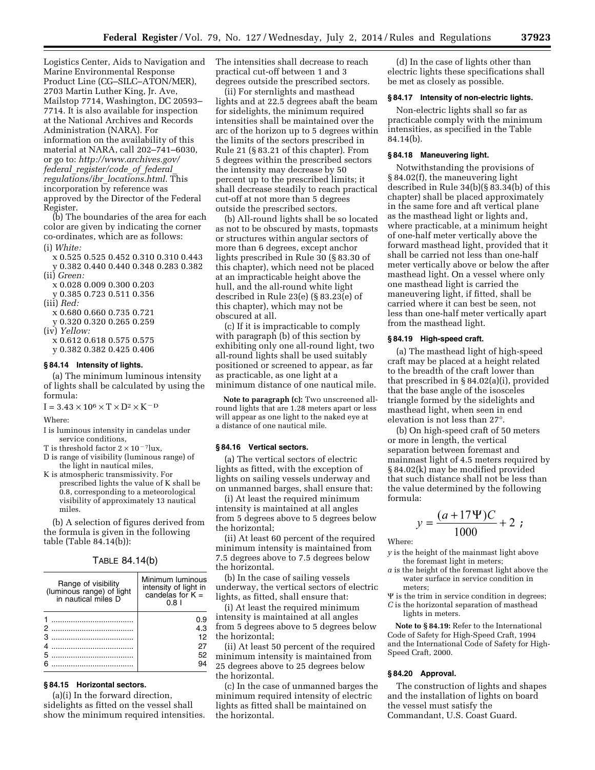Logistics Center, Aids to Navigation and Marine Environmental Response Product Line (CG–SILC–ATON/MER), 2703 Martin Luther King, Jr. Ave, Mailstop 7714, Washington, DC 20593– 7714. It is also available for inspection at the National Archives and Records Administration (NARA). For information on the availability of this material at NARA, call 202–741–6030, or go to: *[http://www.archives.gov/](http://www.archives.gov/federal_register/code_of_federal_regulations/ibr_locations.html) federal*\_*[register/code](http://www.archives.gov/federal_register/code_of_federal_regulations/ibr_locations.html)*\_*of*\_*federal*\_ *[regulations/ibr](http://www.archives.gov/federal_register/code_of_federal_regulations/ibr_locations.html)*\_*locations.html*. This incorporation by reference was approved by the Director of the Federal Register.

(b) The boundaries of the area for each color are given by indicating the corner co-ordinates, which are as follows:

(i) *White:* 

x 0.525 0.525 0.452 0.310 0.310 0.443 y 0.382 0.440 0.440 0.348 0.283 0.382

- (ii) *Green:*
- x 0.028 0.009 0.300 0.203
- y 0.385 0.723 0.511 0.356
- (iii) *Red:*
- x 0.680 0.660 0.735 0.721
- y 0.320 0.320 0.265 0.259
- (iv) *Yellow:* 
	- x 0.612 0.618 0.575 0.575 y 0.382 0.382 0.425 0.406
- 

#### **§ 84.14 Intensity of lights.**

(a) The minimum luminous intensity of lights shall be calculated by using the formula:

 $I = 3.43 \times 10^6 \times T \times D^2 \times K^{-D}$ 

Where:

- I is luminous intensity in candelas under service conditions,
- T is threshold factor  $2 \times 10^{-7}$ lux,
- D is range of visibility (luminous range) of the light in nautical miles,
- K is atmospheric transmissivity. For prescribed lights the value of K shall be 0.8, corresponding to a meteorological visibility of approximately 13 nautical miles.

(b) A selection of figures derived from the formula is given in the following table (Table 84.14(b)):

| TABLE 84.14(b) |  |
|----------------|--|

| Range of visibility<br>(luminous range) of light<br>in nautical miles D | Minimum luminous<br>intensity of light in<br>candelas for $K =$<br>0.81 |  |
|-------------------------------------------------------------------------|-------------------------------------------------------------------------|--|
|                                                                         | 0.9<br>4.3<br>12<br>27<br>52                                            |  |

#### **§ 84.15 Horizontal sectors.**

(a)(i) In the forward direction, sidelights as fitted on the vessel shall show the minimum required intensities. The intensities shall decrease to reach practical cut-off between 1 and 3 degrees outside the prescribed sectors.

(ii) For sternlights and masthead lights and at 22.5 degrees abaft the beam for sidelights, the minimum required intensities shall be maintained over the arc of the horizon up to 5 degrees within the limits of the sectors prescribed in Rule 21 (§ 83.21 of this chapter). From 5 degrees within the prescribed sectors the intensity may decrease by 50 percent up to the prescribed limits; it shall decrease steadily to reach practical cut-off at not more than 5 degrees outside the prescribed sectors.

(b) All-round lights shall be so located as not to be obscured by masts, topmasts or structures within angular sectors of more than 6 degrees, except anchor lights prescribed in Rule 30 (§ 83.30 of this chapter), which need not be placed at an impracticable height above the hull, and the all-round white light described in Rule 23(e) (§ 83.23(e) of this chapter), which may not be obscured at all.

(c) If it is impracticable to comply with paragraph (b) of this section by exhibiting only one all-round light, two all-round lights shall be used suitably positioned or screened to appear, as far as practicable, as one light at a minimum distance of one nautical mile.

**Note to paragraph (c):** Two unscreened allround lights that are 1.28 meters apart or less will appear as one light to the naked eye at a distance of one nautical mile.

#### **§ 84.16 Vertical sectors.**

(a) The vertical sectors of electric lights as fitted, with the exception of lights on sailing vessels underway and on unmanned barges, shall ensure that:

(i) At least the required minimum intensity is maintained at all angles from 5 degrees above to 5 degrees below the horizontal;

(ii) At least 60 percent of the required minimum intensity is maintained from 7.5 degrees above to 7.5 degrees below the horizontal.

(b) In the case of sailing vessels underway, the vertical sectors of electric lights, as fitted, shall ensure that:

(i) At least the required minimum intensity is maintained at all angles from 5 degrees above to 5 degrees below the horizontal;

(ii) At least 50 percent of the required minimum intensity is maintained from 25 degrees above to 25 degrees below the horizontal.

(c) In the case of unmanned barges the minimum required intensity of electric lights as fitted shall be maintained on the horizontal.

(d) In the case of lights other than electric lights these specifications shall be met as closely as possible.

#### **§ 84.17 Intensity of non-electric lights.**

Non-electric lights shall so far as practicable comply with the minimum intensities, as specified in the Table 84.14(b).

#### **§ 84.18 Maneuvering light.**

Notwithstanding the provisions of § 84.02(f), the maneuvering light described in Rule 34(b)(§ 83.34(b) of this chapter) shall be placed approximately in the same fore and aft vertical plane as the masthead light or lights and, where practicable, at a minimum height of one-half meter vertically above the forward masthead light, provided that it shall be carried not less than one-half meter vertically above or below the after masthead light. On a vessel where only one masthead light is carried the maneuvering light, if fitted, shall be carried where it can best be seen, not less than one-half meter vertically apart from the masthead light.

#### **§ 84.19 High-speed craft.**

(a) The masthead light of high-speed craft may be placed at a height related to the breadth of the craft lower than that prescribed in § 84.02(a)(i), provided that the base angle of the isosceles triangle formed by the sidelights and masthead light, when seen in end elevation is not less than 27°.

(b) On high-speed craft of 50 meters or more in length, the vertical separation between foremast and mainmast light of 4.5 meters required by § 84.02(k) may be modified provided that such distance shall not be less than the value determined by the following formula:

$$
y = \frac{(a+17\Psi)C}{1000} + 2;
$$

Where:

- *y* is the height of the mainmast light above the foremast light in meters;
- *a* is the height of the foremast light above the water surface in service condition in meters;
- Y is the trim in service condition in degrees; *C* is the horizontal separation of masthead lights in meters.

**Note to § 84.19:** Refer to the International Code of Safety for High-Speed Craft, 1994 and the International Code of Safety for High-Speed Craft, 2000.

#### **§ 84.20 Approval.**

The construction of lights and shapes and the installation of lights on board the vessel must satisfy the Commandant, U.S. Coast Guard.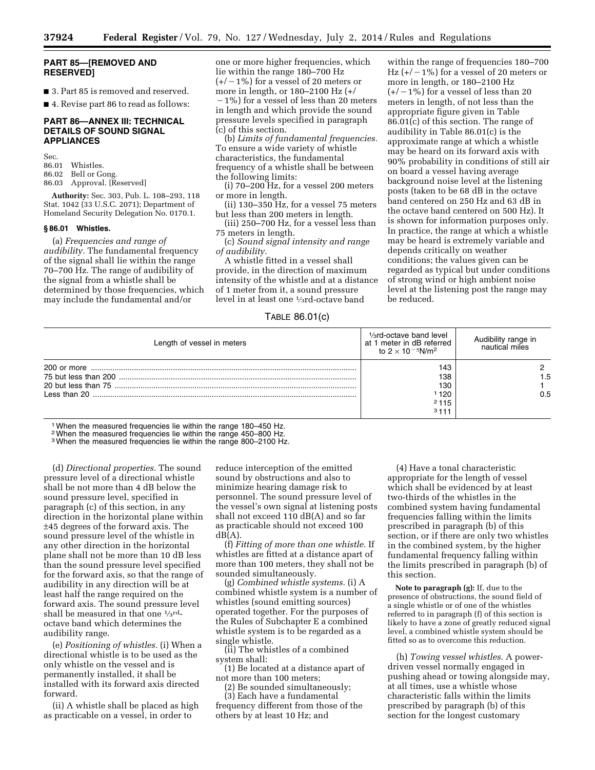#### **PART 85—[REMOVED AND RESERVED]**

■ 3. Part 85 is removed and reserved.

■ 4. Revise part 86 to read as follows:

#### **PART 86—ANNEX III: TECHNICAL DETAILS OF SOUND SIGNAL APPLIANCES**

Sec. 86.01 Whistles. Bell or Gong. 86.03 Approval. [Reserved]

**Authority:** Sec. 303, Pub. L. 108–293, 118 Stat. 1042 (33 U.S.C. 2071); Department of Homeland Security Delegation No. 0170.1.

#### **§ 86.01 Whistles.**

(a) *Frequencies and range of audibility.* The fundamental frequency of the signal shall lie within the range 70–700 Hz. The range of audibility of the signal from a whistle shall be determined by those frequencies, which may include the fundamental and/or

one or more higher frequencies, which lie within the range 180–700 Hz  $(+/-1%)$  for a vessel of 20 meters or more in length, or 180–2100 Hz (+/  $-1\%$ ) for a vessel of less than 20 meters in length and which provide the sound pressure levels specified in paragraph (c) of this section.

(b) *Limits of fundamental frequencies.*  To ensure a wide variety of whistle characteristics, the fundamental frequency of a whistle shall be between the following limits:

(i) 70–200 Hz, for a vessel 200 meters or more in length.

(ii) 130–350 Hz, for a vessel 75 meters but less than 200 meters in length.

(iii) 250–700 Hz, for a vessel less than 75 meters in length.

(c) *Sound signal intensity and range of audibility.* 

A whistle fitted in a vessel shall provide, in the direction of maximum intensity of the whistle and at a distance of 1 meter from it, a sound pressure level in at least one 1⁄3rd-octave band

within the range of frequencies 180–700 Hz  $(+/-1\%)$  for a vessel of 20 meters or more in length, or 180–2100 Hz  $(+/-1%)$  for a vessel of less than 20 meters in length, of not less than the appropriate figure given in Table 86.01(c) of this section. The range of audibility in Table 86.01(c) is the approximate range at which a whistle may be heard on its forward axis with 90% probability in conditions of still air on board a vessel having average background noise level at the listening posts (taken to be 68 dB in the octave band centered on 250 Hz and 63 dB in the octave band centered on 500 Hz). It is shown for information purposes only. In practice, the range at which a whistle may be heard is extremely variable and depends critically on weather conditions; the values given can be regarded as typical but under conditions of strong wind or high ambient noise level at the listening post the range may be reduced.

#### TABLE 86.01(c)

| Length of vessel in meters | 1/ <sub>3</sub> rd-octave band level<br>at 1 meter in dB referred<br>to $2 \times 10^{-5}$ N/m <sup>2</sup> | Audibility range in<br>nautical miles |
|----------------------------|-------------------------------------------------------------------------------------------------------------|---------------------------------------|
| $l$ ess than $20l$         | 143<br>138<br>130<br>120<br>2115<br>3111                                                                    | 0.5                                   |

1When the measured frequencies lie within the range 180–450 Hz.

2When the measured frequencies lie within the range 450–800 Hz.

3When the measured frequencies lie within the range 800–2100 Hz.

(d) *Directional properties.* The sound pressure level of a directional whistle shall be not more than 4 dB below the sound pressure level, specified in paragraph (c) of this section, in any direction in the horizontal plane within ±45 degrees of the forward axis. The sound pressure level of the whistle in any other direction in the horizontal plane shall not be more than 10 dB less than the sound pressure level specified for the forward axis, so that the range of audibility in any direction will be at least half the range required on the forward axis. The sound pressure level shall be measured in that one  $\frac{1}{3}$ <sup>rd</sup>octave band which determines the audibility range.

(e) *Positioning of whistles.* (i) When a directional whistle is to be used as the only whistle on the vessel and is permanently installed, it shall be installed with its forward axis directed forward.

(ii) A whistle shall be placed as high as practicable on a vessel, in order to

reduce interception of the emitted sound by obstructions and also to minimize hearing damage risk to personnel. The sound pressure level of the vessel's own signal at listening posts shall not exceed 110 dB(A) and so far as practicable should not exceed 100  $dB(A)$ .

(f) *Fitting of more than one whistle.* If whistles are fitted at a distance apart of more than 100 meters, they shall not be sounded simultaneously.

(g) *Combined whistle systems.* (i) A combined whistle system is a number of whistles (sound emitting sources) operated together. For the purposes of the Rules of Subchapter E a combined whistle system is to be regarded as a single whistle.

(ii) The whistles of a combined system shall:

(1) Be located at a distance apart of not more than 100 meters;

(2) Be sounded simultaneously;

(3) Each have a fundamental frequency different from those of the others by at least 10 Hz; and

(4) Have a tonal characteristic appropriate for the length of vessel which shall be evidenced by at least two-thirds of the whistles in the combined system having fundamental frequencies falling within the limits prescribed in paragraph (b) of this section, or if there are only two whistles in the combined system, by the higher fundamental frequency falling within the limits prescribed in paragraph (b) of this section.

**Note to paragraph (g):** If, due to the presence of obstructions, the sound field of a single whistle or of one of the whistles referred to in paragraph (f) of this section is likely to have a zone of greatly reduced signal level, a combined whistle system should be fitted so as to overcome this reduction.

(h) *Towing vessel whistles.* A powerdriven vessel normally engaged in pushing ahead or towing alongside may, at all times, use a whistle whose characteristic falls within the limits prescribed by paragraph (b) of this section for the longest customary